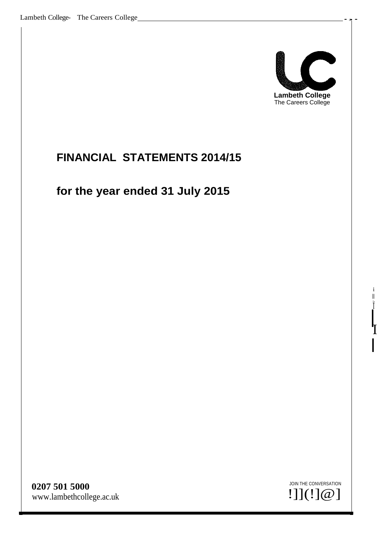

# <span id="page-0-0"></span>**FINANCIAL STATEMENTS 2014/15**

# **for the year ended 31 July 2015**

**0207 501 5000** [www.lambethcollege.ac.uk](http://www.lambethcollege.ac.uk/)



I

i II *le*

l<br>T

 $\mathbf I$ 

I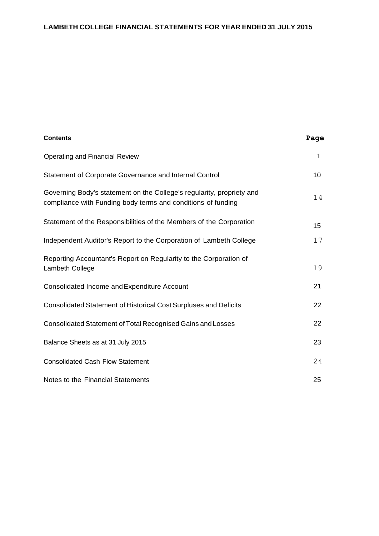| <b>Contents</b>                                                                                                                       | Page |
|---------------------------------------------------------------------------------------------------------------------------------------|------|
| <b>Operating and Financial Review</b>                                                                                                 | 1    |
| Statement of Corporate Governance and Internal Control                                                                                | 10   |
| Governing Body's statement on the College's regularity, propriety and<br>compliance with Funding body terms and conditions of funding | 14   |
| Statement of the Responsibilities of the Members of the Corporation                                                                   | 15   |
| Independent Auditor's Report to the Corporation of Lambeth College                                                                    | 17   |
| Reporting Accountant's Report on Regularity to the Corporation of<br>Lambeth College                                                  | 19   |
| Consolidated Income and Expenditure Account                                                                                           | 21   |
| <b>Consolidated Statement of Historical Cost Surpluses and Deficits</b>                                                               | 22   |
| Consolidated Statement of Total Recognised Gains and Losses                                                                           | 22   |
| Balance Sheets as at 31 July 2015                                                                                                     | 23   |
| <b>Consolidated Cash Flow Statement</b>                                                                                               | 24   |
| Notes to the Financial Statements                                                                                                     | 25   |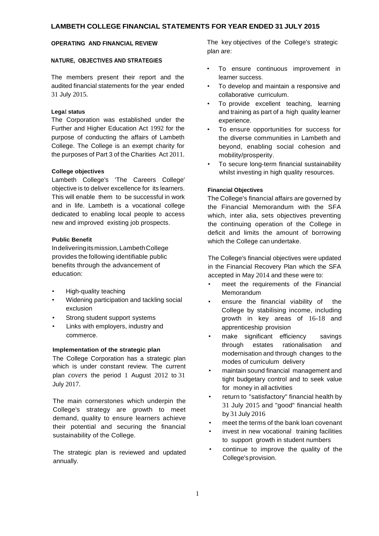#### **NATURE, OBJECTIVES AND STRATEGIES**

The members present their report and the audited financial statements for the year ended 31 July 2015.

#### **Lega**I **status**

The Corporation was established under the Further and Higher Education Act 1992 for the purpose of conducting the affairs of Lambeth College. The College is an exempt charity for the purposes of Part 3 of the Charities Act 2011.

#### **College objectives**

Lambeth College's 'The Careers College' objective is to deliver excellence for its learners. This will enable them to be successful in work and in life. Lambeth is a vocational college dedicated to enabling local people to access new and improved existing job prospects.

#### **Public Benefit**

Indeliveringitsmission,LambethCollege provides the following identifiable public benefits through the advancement of education:

- High-quality teaching
- Widening participation and tackling social exclusion
- Strong student support systems
- Links with employers, industry and commerce.

#### **Implementation of the strategic plan**

The College Corporation has a strategic plan which is under constant review. The current plan *covers* the period 1 August 2012 to 31 July 2017.

The main cornerstones which underpin the College's strategy are growth to meet demand, quality to ensure learners achieve their potential and securing the financial sustainability of the College.

The strategic plan is reviewed and updated annually.

**OPERATING AND FINANCIAL REVIEW** The key objectives of the College's strategic plan are:

- To ensure continuous improvement in learner success.
- To develop and maintain a responsive and collaborative curriculum.
- To provide excellent teaching, learning and training as part of a high quality learner experience.
- To ensure opportunities for success for the diverse communities in Lambeth and beyond, enabling social cohesion and mobility/prosperity.
- To secure long-term financial sustainability whilst investing in high quality resources.

#### **Financial Objectives**

The College's financial affairs are governed by the Financial Memorandum with the SFA which, inter alia, sets objectives preventing the continuing operation of the College in deficit and limits the amount of borrowing which the College can undertake.

The College's financial objectives were updated in the Financial Recovery Plan which the SFA accepted in May 2014 and these were to:

- meet the requirements of the Financial Memorandum
- ensure the financial viability of the College by stabilising income, including growth in key areas of 16-18 and apprenticeship provision
- make significant efficiency savings through estates rationalisation and modernisation and through changes to the modes of curriculum delivery
- maintain sound financial management and tight budgetary control and to seek value for money in all activities
- return to "satisfactory" financial health by 31 July 2015 and "good" financial health by 31 July 2016
- meet the terms of the bank loan covenant
- invest in new vocational training facilities to support growth in student numbers
- continue to improve the quality of the College'sprovision.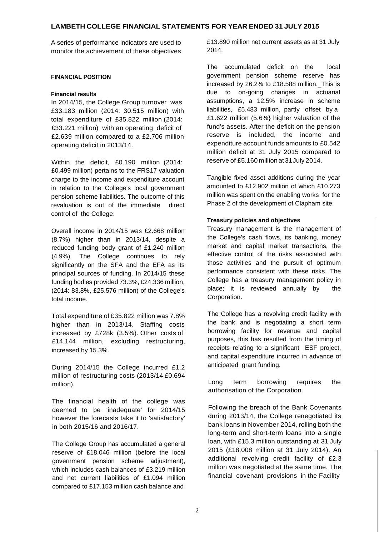monitor the achievement of these objectives

#### **FINANCIAL POSITION**

#### **Financial results**

In 2014/15, the College Group turnover was £33.183 million (2014: 30.515 million) with total expenditure of £35.822 million (2014: £33.221 million) with an operating deficit of £2.639 million compared to a £2.706 million operating deficit in 2013/14.

Within the deficit, £0.190 million (2014: £0.499 million) pertains to the FRS17 valuation charge to the income and expenditure account in relation to the College's local government pension scheme liabilities. The outcome of this revaluation is out of the immediate direct control of the College.

Overall income in 2014/15 was £2.668 million (8.7%) higher than in 2013/14, despite a reduced funding body grant of £1.240 million (4.9%). The College continues to rely significantly on the SFA and the EFA as its principal sources of funding. In 2014/15 these funding bodies provided 73.3%, £24.336 million, (2014: 83.8%, £25.576 million) of the College's total income.

Total expenditure of £35.822 million was 7.8% higher than in 2013/14. Staffing costs increased by £728k (3.5%). Other costs of £14.144 million, excluding restructuring, increased by 15.3%.

During 2014/15 the College incurred £1.2 million of restructuring costs (2013/14 £0.694 million).

The financial health of the college was deemed to be 'inadequate' for 2014/15 however the forecasts take it to 'satisfactory' in both 2015/16 and 2016/17.

The College Group has accumulated a general reserve of £18.046 million (before the local government pension scheme adjustment), which includes cash balances of £3.219 million and net current liabilities of £1.094 million compared to £17.153 million cash balance and

A series of performance indicators are used to £13.890 million net current assets as at 31 July 2014.

> The accumulated deficit on the local government pension scheme reserve has increased by 26.2% to £18.588 million.\_This is due to on-going changes in actuarial assumptions, a 12.5% increase in scheme liabilities, £5.483 million, partly offset by a £1.622 million (5.6%} higher valuation of the fund's assets. After the deficit on the pension reserve is included, the income and expenditure account funds amounts to £0.542 million deficit at 31 July 2015 compared to reserve of £5.160 million at31July 2014.

> Tangible fixed asset additions during the year amounted to £12.902 million of which £10.273 million was spent on the enabling works for the Phase 2 of the development of Clapham site.

### **Treasury policies and objectives**

Treasury management is the management of the College's cash flows, its banking, money market and capital market transactions, the effective control of the risks associated with those activities and the pursuit of optimum performance consistent with these risks. The College has a treasury management policy in place; it is reviewed annually by the Corporation.

The College has a revolving credit facility with the bank and is negotiating a short term borrowing facility for revenue and capital purposes, this has resulted from the timing of receipts relating to a significant ESF project, and capital expenditure incurred in advance of anticipated grant funding.

Long term borrowing requires the authorisation of the Corporation.

Following the breach of the Bank Covenants during 2013/14, the College renegotiated its bank loans in November 2014, rolling both the long-term and short-term loans into a single loan, with £15.3 million outstanding at 31 July 2015 (£18.008 million at 31 July 2014). An additional revolving credit facility of £2.3 million was negotiated at the same time. The financial covenant provisions in the Facility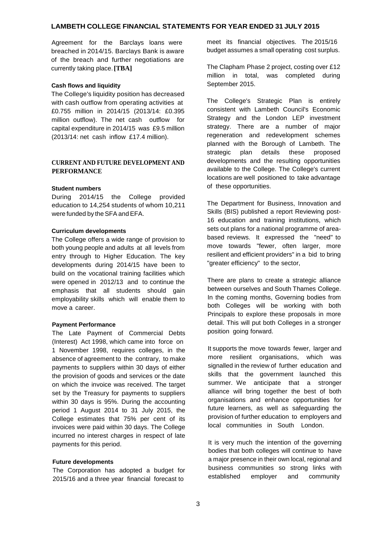breached in 2014/15. Barclays Bank is aware of the breach and further negotiations are currently taking place.**[TBA]**

#### **Cash flows and liquidity**

The College's liquidity position has decreased with cash outflow from operating activities at £0.755 million in 2014/15 (2013/14: £0.395 million outflow). The net cash outflow for capital expenditure in 2014/15 was £9.5 million (2013/14: net cash inflow £17.4 million).

# **CURRENT AND FUTURE DEVELOPMENT AND PERFORMANCE**

#### **Student numbers**

During 2014/15 the College provided education to 14,254 students of whom 10,211 were funded by the SFA and EFA.

#### **Curriculum developments**

The College offers a wide range of provision to both young people and adults at all levels from entry through to Higher Education. The key developments during 2014/15 have been to build on the vocational training facilities which were opened in 2012/13 and to continue the emphasis that all students should gain employability skills which will enable them to move a career.

#### **Payment Performance**

The Late Payment of Commercial Debts (Interest) Act 1998, which came into force on 1 November 1998, requires colleges, in the absence of agreement to the contrary, to make payments to suppliers within 30 days of either the provision of goods and services or the date on which the invoice was received. The target set by the Treasury for payments to suppliers within 30 days is 95%. During the accounting period 1 August 2014 to 31 July 2015, the College estimates that 75% per cent of its invoices were paid within 30 days. The College incurred no interest charges in respect of late payments for this period.

#### **Future developments**

The Corporation has adopted a budget for 2015/16 and a three year financial forecast to

Agreement for the Barclays loans were meet its financial objectives. The 2015/16 budget assumes a small operating cost surplus.

> The Clapham Phase 2 project, costing over £12 million in total, was completed during September 2015.

> The College's Strategic Plan is entirely consistent with Lambeth Council's Economic Strategy and the London LEP investment strategy. There are a number of major regeneration and redevelopment schemes planned with the Borough of Lambeth. The strategic plan details these proposed developments and the resulting opportunities available to the College. The College's current locations are well positioned to take advantage of these opportunities.

> The Department for Business, Innovation and Skills (BIS) published a report Reviewing post-16 education and training institutions, which sets out plans for a national programme of areabased reviews. It expressed the "need" to move towards "fewer, often larger, more resilient and efficient providers" in a bid to bring "greater efficiency" to the sector,

> There are plans to create a strategic alliance between ourselves and South Thames College. In the coming months, Governing bodies from both Colleges will be working with both Principals to explore these proposals in more detail. This will put both Colleges in a stronger position going forward.

> It supports the move towards fewer, larger and more resilient organisations, which was signalled in the review of further education and skills that the government launched this summer. We anticipate that a stronger alliance will bring together the best of both organisations and enhance opportunities for future learners, as well as safeguarding the provision of further education to employers and local communities in South London.

> It is very much the intention of the governing bodies that both colleges will continue to have a major presence in their own local, regional and business communities so strong links with established employer and community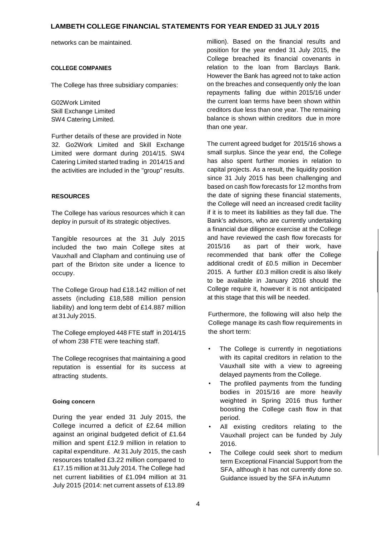networks can be maintained.

#### **COLLEGE COMPANIES**

The College has three subsidiary companies:

G02Work Limited Skill Exchange Limited SW4 Catering Limited.

Further details of these are provided in Note 32. Go2Work Limited and Skill Exchange Limited were dormant during 2014/15. SW4 Catering Limited started trading in 2014/15 and the activities are included in the "group" results.

### **RESOURCES**

The College has various resources which it can deploy in pursuit of its strategic objectives.

Tangible resources at the 31 July 2015 included the two main College sites at Vauxhall and Clapham and continuing use of part of the Brixton site under a licence to occupy.

The College Group had £18.142 million of net assets (including £18,588 million pension liability) and long term debt of £14.887 million at 31July 2015.

The College employed 448 FTE staff in 2014/15 of whom 238 FTE were teaching staff.

The College recognises that maintaining a good reputation is essential for its success at attracting students.

### **Going concern**

During the year ended 31 July 2015, the College incurred a deficit of £2.64 million against an original budgeted deficit of £1.64 million and spent £12.9 million in relation to capital expenditure. At 31 July 2015, the cash resources totalled £3.22 million compared to £17.15 million at 31July 2014. The College had net current liabilities of £1.094 million at 31 July 2015 {2014: net current assets of £13.89

million). Based on the financial results and position for the year ended 31 July 2015, the College breached its financial covenants in relation to the loan from Barclays Bank. However the Bank has agreed not to take action on the breaches and consequently only the loan repayments falling due within 2015/16 under the current loan terms have been shown within creditors due less than one year. The remaining balance is shown within creditors due in more than one year.

The current agreed budget for 2015/16 shows a small surplus. Since the year end, the College has also spent further monies in relation to capital projects. As a result, the liquidity position since 31 July 2015 has been challenging and based on cash flow forecasts for 12 months from the date of signing these financial statements, the College will need an increased credit facility if it is to meet its liabilities as they fall due. The Bank's advisors, who are currently undertaking a financial due diligence exercise at the College and have reviewed the cash flow forecasts for 2015/16 as part of their work, have recommended that bank offer the College additional credit of £0.5 million in December 2015. A further £0.3 million credit is also likely to be available in January 2016 should the College require it, however it is not anticipated at this stage that this will be needed.

Furthermore, the following will also help the College manage its cash flow requirements in the short term:

- The College is currently in negotiations with its capital creditors in relation to the Vauxhall site with a view to agreeing delayed payments from the College.
- The profiled payments from the funding bodies in 2015/16 are more heavily weighted in Spring 2016 thus further boosting the College cash flow in that period.
- All existing creditors relating to the Vauxhall project can be funded by July 2016.
- The College could seek short to medium term Exceptional Financial Support from the SFA, although it has not currently done so. Guidance issued by the SFA inAutumn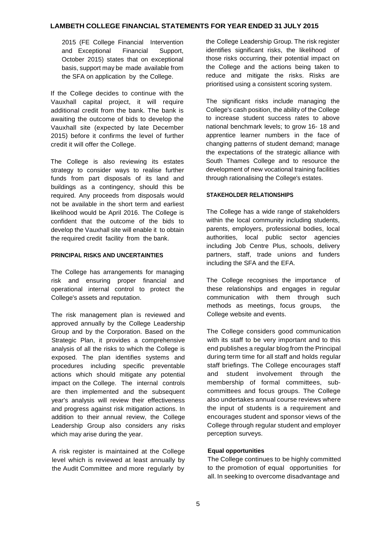2015 (FE College Financial Intervention and Exceptional Financial Support, October 2015) states that on exceptional basis, support may be made available from the SFA on application by the College.

If the College decides to continue with the Vauxhall capital project, it will require additional credit from the bank. The bank is awaiting the outcome of bids to develop the Vauxhall site (expected by late December 2015) before it confirms the level of further credit it will offer the College.

The College is also reviewing its estates strategy to consider ways to realise further funds from part disposals of its land and buildings as a contingency, should this be required. Any proceeds from disposals would not be available in the short term and earliest likelihood would be April 2016. The College is confident that the outcome of the bids to develop the Vauxhall site will enable it to obtain the required credit facility from the bank.

#### **PRINCIPAL RISKS AND UNCERTAINTIES**

The College has arrangements for managing risk and ensuring proper financial and operational internal control to protect the College's assets and reputation.

The risk management plan is reviewed and approved annually by the College Leadership Group and by the Corporation. Based on the Strategic Plan, it provides a comprehensive analysis of all the risks to which the College is exposed. The plan identifies systems and procedures including specific preventable actions which should mitigate any potential impact on the College. The internal controls are then implemented and the subsequent year's analysis will review their effectiveness and progress against risk mitigation actions. In addition to their annual review, the College Leadership Group also considers any risks which may arise during the year.

A risk register is maintained at the College level which is reviewed at least annually by the Audit Committee and more regularly by

the College Leadership Group. The risk register identifies significant risks, the likelihood of those risks occurring, their potential impact on the College and the actions being taken to reduce and mitigate the risks. Risks are prioritised using a consistent scoring system.

The significant risks include managing the College's cash position, the ability of the College to increase student success rates to above national benchmark levels; to grow 16- 18 and apprentice learner numbers in the face of changing patterns of student demand; manage the expectations of the strategic alliance with South Thames College and to resource the development of new vocational training facilities through rationalising the College's estates.

### **STAKEHOLDER RELATIONSHIPS**

The College has a wide range of stakeholders within the local community including students, parents, employers, professional bodies, local authorities, local public sector agencies including Job Centre Plus, schools, delivery partners, staff, trade unions and funders including the SFA and the EFA.

The College recognises the importance of these relationships and engages in regular communication with them through such methods as meetings, focus groups, the College website and events.

The College considers good communication with its staff to be very important and to this end publishes a regular blog from the Principal during term time for all staff and holds regular staff briefings. The College encourages staff and student involvement through the membership of formal committees, subcommittees and focus groups. The College also undertakes annual course reviews where the input of students is a requirement and encourages student and sponsor views of the College through regular student and employer perception surveys.

# **Equal opportunities**

The College continues to be highly committed to the promotion of equal opportunities for all. In seeking to overcome disadvantage and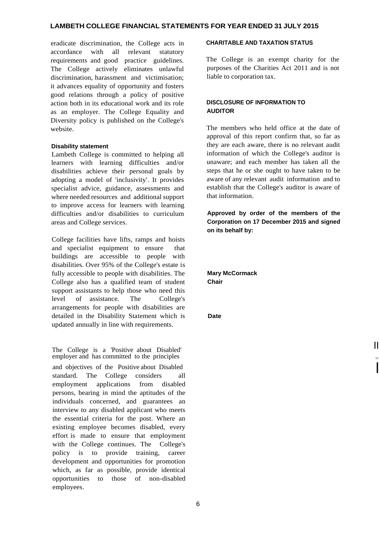eradicate discrimination, the College acts in accordance with all relevant statutory requirements and good practice guidelines. The College actively eliminates unlawful discrimination, harassment and victimisation; it advances equality of opportunity and fosters good relations through a policy of positive action both in its educational work and its role as an employer. The College Equality and Diversity policy is published on the College's website.

#### **Disability statement**

Lambeth College is committed to helping all learners with learning difficulties and/or disabilities achieve their personal goals by adopting a model of 'inclusivity'. It provides specialist advice, guidance, assessments and where needed resources and additional support to improve access for learners with learning difficulties and/or disabilities to curriculum areas and College services.

College facilities have lifts, ramps and hoists and specialist equipment to ensure that buildings are accessible to people with disabilities. Over 95% of the College's estate is fully accessible to people with disabilities. The College also has a qualified team of student support assistants to help those who need this level of assistance. The College's arrangements for people with disabilities are detailed in the Disability Statement which is updated annually in line with requirements.

The College is a 'Positive about Disabled' II employer and has committed to the principles

and objectives of the Positive about Disabled<br>standard The College considers all standard. The College considers employment applications from disabled persons, bearing in mind the aptitudes of the individuals concerned, and guarantees an interview to any disabled applicant who meets the essential criteria for the post. Where an existing employee becomes disabled, every effort is made to ensure that employment with the College continues. The College's policy is to provide training, career development and opportunities for promotion which, as far as possible, provide identical opportunities to those of non-disabled employees.

## **CHARITABLE AND TAXATION STATUS**

The College is an exempt charity for the purposes of the Charities Act 2011 and is not liable to corporation tax.

# **DISCLOSURE OF INFORMATION TO AUDITOR**

The members who held office at the date of approval of this report confirm that, so far as they are each aware, there is no relevant audit information of which the College's auditor is unaware; and each member has taken all the steps that he or she ought to have taken to be aware of any relevant audit information and to establish that the College's auditor is aware of that information.

**Approved by order of the members of the Corporation on 17 December 2015 and signed on its behalf by:**

**Mary McCormack Chair**

**Date**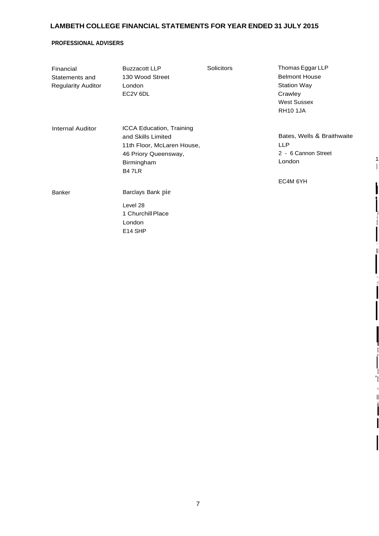# **PROFESSIONAL ADVISERS**

| Financial<br>Statements and<br><b>Regularity Auditor</b> | <b>Buzzacott LLP</b><br>130 Wood Street<br>London<br>EC2V 6DL                                                                              | Solicitors | Thomas Eggar LLP<br><b>Belmont House</b><br><b>Station Way</b><br>Crawley<br><b>West Sussex</b><br><b>RH10 1JA</b> |
|----------------------------------------------------------|--------------------------------------------------------------------------------------------------------------------------------------------|------------|--------------------------------------------------------------------------------------------------------------------|
| <b>Internal Auditor</b>                                  | <b>ICCA Education, Training</b><br>and Skills Limited<br>11th Floor, McLaren House,<br>46 Priory Queensway,<br>Birmingham<br><b>B4 7LR</b> |            | Bates, Wells & Braithwaite<br><b>LLP</b><br>2 - 6 Cannon Street<br>London                                          |
| <b>Banker</b>                                            | Barclays Bank pie                                                                                                                          |            | EC4M 6YH                                                                                                           |
|                                                          | Level 28<br>1 Churchill Place<br>London<br>E14 SHP                                                                                         |            |                                                                                                                    |

 $\overline{\mathbf{I}}$ 

II

I11 :! I

!<br>!

I

I "I

> II iiI

I

I

I "

I

II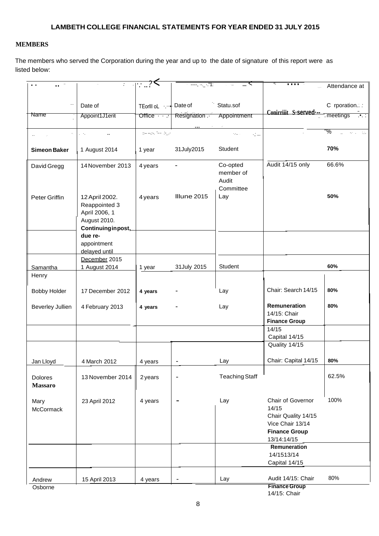# **MEMBERS**

The members who served the Corporation during the year and up to the date of signature of this report were as listed below:

| $\sim$ $\sim$       | $\mathcal{L}_{\mathcal{A}}$    | ⊣∵…?<               |                      | ್ಲ<br>$\sim$           | .                                    | Attendance at  |
|---------------------|--------------------------------|---------------------|----------------------|------------------------|--------------------------------------|----------------|
|                     |                                |                     |                      |                        |                                      |                |
|                     | Date of                        | TEorlll oL  Date of |                      | Statu.sof              |                                      | C rporation.:: |
| Name                |                                |                     |                      |                        | Conirriiit S-served-                 | meetings       |
|                     | Appoint1J1erit                 |                     | Office Resignation . | Appointment            |                                      |                |
|                     | $\sim 10$                      | أنزرج الملا يجيدهم  |                      | Stark<br>$\mathcal{L}$ |                                      | "%             |
|                     |                                |                     |                      |                        |                                      |                |
| <b>Simeon Baker</b> | 1 August 2014                  | 1 year              | 31July2015           | Student                |                                      | 70%            |
| David Gregg         | 14 November 2013               | 4 years             |                      | Co-opted<br>member of  | Audit 14/15 only                     | 66.6%          |
|                     |                                |                     |                      | Audit<br>Committee     |                                      |                |
| Peter Griffin       | 12 April 2002.                 | 4 years             | Illune 2015          | Lay                    |                                      | 50%            |
|                     | Reappointed 3                  |                     |                      |                        |                                      |                |
|                     | April 2006, 1                  |                     |                      |                        |                                      |                |
|                     | August 2010.                   |                     |                      |                        |                                      |                |
|                     | Continuing in post,<br>due re- |                     |                      |                        |                                      |                |
|                     | appointment                    |                     |                      |                        |                                      |                |
|                     | delayed until                  |                     |                      |                        |                                      |                |
|                     | December 2015                  |                     |                      |                        |                                      |                |
| Samantha            | 1 August 2014                  | 1 year              | 31 July 2015         | Student                |                                      | 60%            |
| Henry               |                                |                     |                      |                        |                                      |                |
| <b>Bobby Holder</b> | 17 December 2012               | 4 years             |                      | Lay                    | Chair: Search 14/15                  | 80%            |
| Beverley Jullien    | 4 February 2013                | 4 years             |                      | Lay                    | Remuneration                         | 80%            |
|                     |                                |                     |                      |                        | 14/15: Chair                         |                |
|                     |                                |                     |                      |                        | <b>Finance Group</b>                 |                |
|                     |                                |                     |                      |                        | 14/15                                |                |
|                     |                                |                     |                      |                        | Capital 14/15<br>Quality 14/15       |                |
|                     |                                |                     |                      |                        |                                      |                |
| Jan Lloyd           | 4 March 2012                   | 4 years             |                      | Lay                    | Chair: Capital 14/15                 | 80%            |
| Dolores             | 13 November 2014               | 2 years             | $\blacksquare$       | <b>Teaching Staff</b>  |                                      | 62.5%          |
| <b>Massaro</b>      |                                |                     |                      |                        |                                      |                |
|                     |                                |                     |                      | Lay                    | Chair of Governor                    | 100%           |
| Mary<br>McCormack   | 23 April 2012                  | 4 years             |                      |                        | 14/15                                |                |
|                     |                                |                     |                      |                        | Chair Quality 14/15                  |                |
|                     |                                |                     |                      |                        | Vice Chair 13/14                     |                |
|                     |                                |                     |                      |                        | <b>Finance Group</b>                 |                |
|                     |                                |                     |                      |                        | 13/14:14/15<br>Remuneration          |                |
|                     |                                |                     |                      |                        | 14/1513/14                           |                |
|                     |                                |                     |                      |                        | Capital 14/15                        |                |
|                     |                                |                     |                      |                        |                                      |                |
| Andrew              | 15 April 2013                  | 4 years             | ۰                    | Lay                    | Audit 14/15: Chair                   | 80%            |
| Osborne             |                                |                     |                      |                        | <b>Finance Group</b><br>14/15: Chair |                |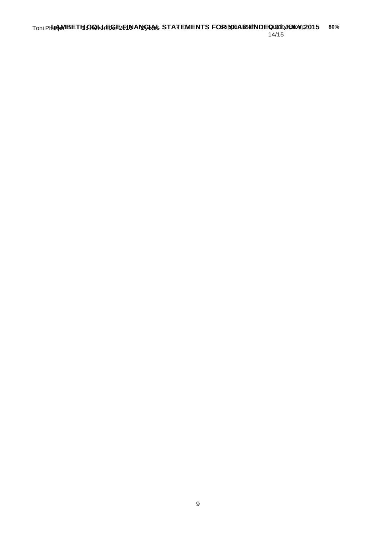Toni Phillips **LAMBETH**15**COLLEGE** November 2013 **FINANCIAL** 2 years **STATEMENTS** - **FOR**Support **YEAR**Staff **ENDED**Quality **31 JULY** Group**2015 80%** 14/15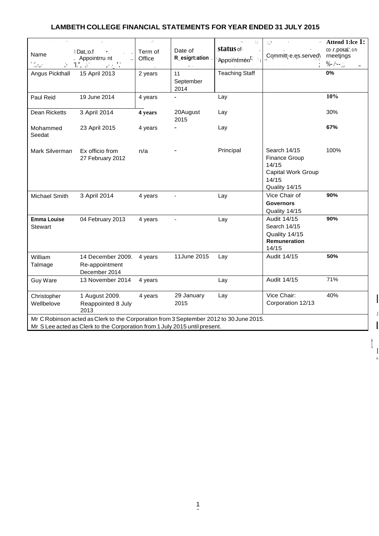|                                      | v.                                                                                                                                                                   | ò,                |                           | $\mathbb{Z}^{\times}_{\text{loc}}$     | $\therefore$                                                                                  | Attend 1:lce 1:                 |
|--------------------------------------|----------------------------------------------------------------------------------------------------------------------------------------------------------------------|-------------------|---------------------------|----------------------------------------|-----------------------------------------------------------------------------------------------|---------------------------------|
| Name                                 | Dat, :o.f<br>$\bullet\cdot$<br>Appointrru nt<br>ä.                                                                                                                   | Term of<br>Office | Date of<br>R_esigrt:ation | status of.<br>'Appomtmen <sup>t;</sup> | Committ-e.es.served\                                                                          | co-.r.poralon-<br>rneetjngs     |
| $\mathbb{Z}_{p^2m^2}$                | Ί.",<br>$\mathbf{r}$<br>÷,                                                                                                                                           |                   |                           |                                        |                                                                                               | $\%$ - /·-- $\therefore$<br>ar. |
| Angus Pickthall                      | 15 April 2013                                                                                                                                                        | 2 years           | 11                        | <b>Teaching Staff</b>                  |                                                                                               | 0%                              |
|                                      |                                                                                                                                                                      |                   | September                 |                                        |                                                                                               |                                 |
|                                      |                                                                                                                                                                      |                   | 2014                      |                                        |                                                                                               |                                 |
| Paul Reid                            | 19 June 2014                                                                                                                                                         | 4 years           |                           | Lay                                    |                                                                                               | 10%                             |
| Dean Ricketts                        | 3 April 2014                                                                                                                                                         | 4 years           | 20August<br>2015          | Lay                                    |                                                                                               | 30%                             |
| Mohammed<br>Seedat                   | 23 April 2015                                                                                                                                                        | 4 years           |                           | Lay                                    |                                                                                               | 67%                             |
| Mark Silverman                       | Ex officio from<br>27 February 2012                                                                                                                                  | n/a               |                           | Principal                              | Search 14/15<br><b>Finance Group</b><br>14/15<br>Capital Work Group<br>14/15<br>Quality 14/15 | 100%                            |
| <b>Michael Smith</b>                 | 3 April 2014                                                                                                                                                         | 4 years           | ÷,                        | Lay                                    | Vice Chair of<br><b>Governors</b><br>Quality 14/15                                            | 90%                             |
| <b>Emma Louise</b><br><b>Stewart</b> | 04 February 2013                                                                                                                                                     | 4 years           | ä,                        | Lay                                    | Audit 14/15<br>Search 14/15<br>Quality 14/15<br>Remuneration<br>14/15                         | 90%                             |
| William<br>Talmage                   | 14 December 2009.<br>Re-appointment<br>December 2014                                                                                                                 | 4 years           | 11June 2015               | Lay                                    | Audit 14/15                                                                                   | 50%                             |
| <b>Guy Ware</b>                      | 13 November 2014                                                                                                                                                     | 4 years           |                           | Lay                                    | Audit 14/15                                                                                   | 71%                             |
| Christopher<br>Wellbelove            | 1 August 2009.<br>Reappointed 8 July<br>2013                                                                                                                         | 4 years           | 29 January<br>2015        | Lay                                    | Vice Chair:<br>Corporation 12/13                                                              | 40%                             |
|                                      | Mr C Robinson acted as Clerk to the Corporation from 3 September 2012 to 30 June 2015.<br>Mr S Lee acted as Clerk to the Corporation from 1 July 2015 until present. |                   |                           |                                        |                                                                                               |                                 |

I

.I I

I Ii

t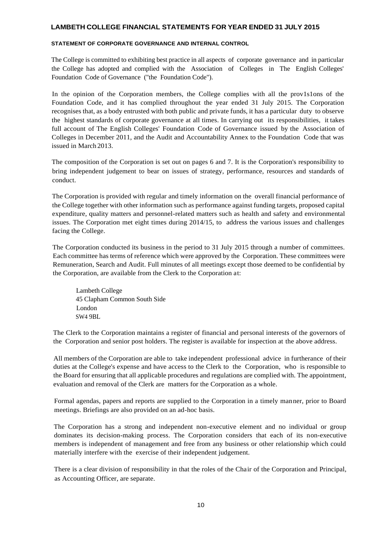#### **STATEMENT OF CORPORATE GOVERNANCE AND INTERNAL CONTROL**

The College is committed to exhibiting best practice in all aspects of corporate governance and in particular the College has adopted and complied with the Association of Colleges in The English Colleges' Foundation Code of Governance ("the Foundation Code").

In the opinion of the Corporation members, the College complies with all the prov1s1ons of the Foundation Code, and it has complied throughout the year ended 31 July 2015. The Corporation recognises that, as a body entrusted with both public and private funds, it has a particular duty to observe the highest standards of corporate governance at all times. In carrying out its responsibilities, it takes full account of The English Colleges' Foundation Code of Governance issued by the Association of Colleges in December 2011, and the Audit and Accountability Annex to the Foundation Code that was issued in March 2013.

The composition of the Corporation is set out on pages 6 and 7. It is the Corporation's responsibility to bring independent judgement to bear on issues of strategy, performance, resources and standards of conduct.

The Corporation is provided with regular and timely information on the overall financial performance of the College together with other information such as performance against funding targets, proposed capital expenditure, quality matters and personnel-related matters such as health and safety and environmental issues. The Corporation met eight times during 2014/15, to address the various issues and challenges facing the College.

The Corporation conducted its business in the period to 31 July 2015 through a number of committees. Each committee has terms of reference which were approved by the Corporation. These committees were Remuneration, Search and Audit. Full minutes of all meetings except those deemed to be confidential by the Corporation, are available from the Clerk to the Corporation at:

Lambeth College 45 Clapham Common South Side London SW4 9BL

The Clerk to the Corporation maintains a register of financial and personal interests of the governors of the Corporation and senior post holders. The register is available for inspection at the above address.

All members of the Corporation are able to take independent professional advice in furtherance of their duties at the College's expense and have access to the Clerk to the Corporation, who is responsible to the Board for ensuring that all applicable procedures and regulations are complied with. The appointment, evaluation and removal of the Clerk are matters for the Corporation as a whole.

Formal agendas, papers and reports are supplied to the Corporation in a timely manner, prior to Board meetings. Briefings are also provided on an ad-hoc basis.

The Corporation has a strong and independent non-executive element and no individual or group dominates its decision-making process. The Corporation considers that each of its non-executive members is independent of management and free from any business or other relationship which could materially interfere with the exercise of their independent judgement.

There is a clear division of responsibility in that the roles of the Chair of the Corporation and Principal, as Accounting Officer, are separate.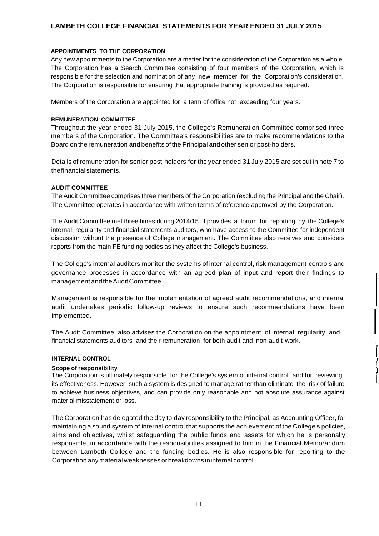#### **APPOINTMENTS TO THE CORPORATION**

Any new appointments to the Corporation are a matter for the consideration of the Corporation as a whole. The Corporation has a Search Committee consisting of four members of the Corporation, which is responsible for the selection and nomination of any new member for the Corporation's consideration. The Corporation is responsible for ensuring that appropriate training is provided as required.

Members of the Corporation are appointed for a term of office not exceeding four years.

#### **REMUNERATION COMMITTEE**

Throughout the year ended 31 July 2015, the College's Remuneration Committee comprised three members of the Corporation. The Committee's responsibilities are to make recommendations to the Board onthe remuneration and benefits of the Principal and other senior post-holders.

Details of remuneration for senior post-holders for the year ended 31 July 2015 are set out in note 7 to thefinancialstatements.

#### **AUDIT COMMITTEE**

The Audit Committee comprises three members of the Corporation (excluding the Principal and the Chair). The Committee operates in accordance with written terms of reference approved by the Corporation.

The Audit Committee met three times during 2014/15. It provides a forum for reporting by the College's internal, regularity and financial statements auditors, who have access to the Committee for independent discussion without the presence of College management. The Committee also receives and considers reports from the main FE funding bodies as they affect the College's business.

The College's internal auditors monitor the systems of internal control, risk management controls and governance processes in accordance with an agreed plan of input and report their findings to management andtheAudit Committee.

Management is responsible for the implementation of agreed audit recommendations, and internal audit undertakes periodic follow-up reviews to ensure such recommendations have been implemented.

The Audit Committee also advises the Corporation on the appointment of internal, regularity and financial statements auditors and their remuneration for both audit and non-audit work.

l

!/

! '

I

I

#### **INTERNAL CONTROL**

**Scope of responsibility** I The Corporation is ultimately responsible for the College's system of internal control and for reviewing " its effectiveness. However, such a system is designed to manage rather than eliminate the risk of failure to achieve business objectives, and can provide only reasonable and not absolute assurance against material misstatement or loss.

The Corporation has delegated the day to day responsibility to the Principal, as Accounting Officer, for maintaining a sound system of internal control that supports the achievement of the College's policies, aims and objectives, whilst safeguarding the public funds and assets for which he is personally responsible, in accordance with the responsibilities assigned to him in the Financial Memorandum between Lambeth College and the funding bodies. He is also responsible for reporting to the Corporation anymaterial weaknesses orbreakdowns ininternal control.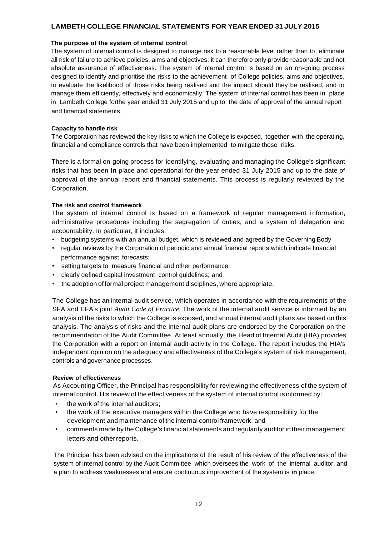#### **The purpose of the system of internal control**

The system of internal control is designed to manage risk to a reasonable level rather than to eliminate all risk of failure to achieve policies, aims and objectives; it can therefore only provide reasonable and not absolute assurance of effectiveness. The system of internal control is based on an on-going process designed to identify and prioritise the risks to the achievement of College policies, aims and objectives, to evaluate the likelihood of those risks being realised and the impact should they be realised, and to manage them efficiently, effectively and economically. The system of internal control has been in place in Lambeth College forthe year ended 31 July 2015 and up to the date of approval of the annual report and financial statements.

#### **Capacity to handle risk**

The Corporation has reviewed the key risks to which the College is exposed, together with the operating, financial and compliance controls that have been implemented to mitigate those risks.

There is a formal on-going process for identifying, evaluating and managing the College's significant risks that has been **in** place and operational for the year ended 31 July 2015 and up to the date of approval of the annual report and financial statements. This process is regularly reviewed by the Corporation.

#### **The risk and control framework**

The system of internal control is based on a framework of regular management information, administrative procedures including the segregation of duties, and a system of delegation and accountability. In particular, it includes:

- budgeting systems with an annual budget, which is reviewed and agreed by the Governing Body
- regular reviews by the Corporation of periodic and annual financial reports which indicate financial performance against forecasts;
- setting targets to measure financial and other performance;
- clearly defined capital investment control guidelines; and
- the adoption of formal project management disciplines, where appropriate.

The College has an internal audit service, which operates in accordance with the requirements of the SFA and EFA's joint *Audit Code of Practice.* The work of the internal audit service is informed by an analysis of the risks to which the College is exposed, and annual internal audit plans are based on this analysis. The analysis of risks and the internal audit plans are endorsed by the Corporation on the recommendation of the Audit Committee. At least annually, the Head of Internal Audit (HIA) provides the Corporation with a report on internal audit activity in the College. The report includes the HIA's independent opinion on the adequacy and effectiveness of the College's system of risk management, controls and governance processes.

# **Review of effectiveness**

As Accounting Officer, the Principal has responsibility for reviewing the effectiveness of the system of internal control. His review of the effectiveness of the system of internal control is informed by:

- the work of the internal auditors:
- the work of the executive managers within the College who have responsibility for the development and maintenance of the internal control framework; and
- comments made by the College's financial statements and regularity auditor in their management letters and otherreports.

The Principal has been advised on the implications of the result of his review of the effectiveness of the system of internal control by the Audit Committee which oversees the work of the internal auditor, and a plan to address weaknesses and ensure continuous improvement of the system is **in** place.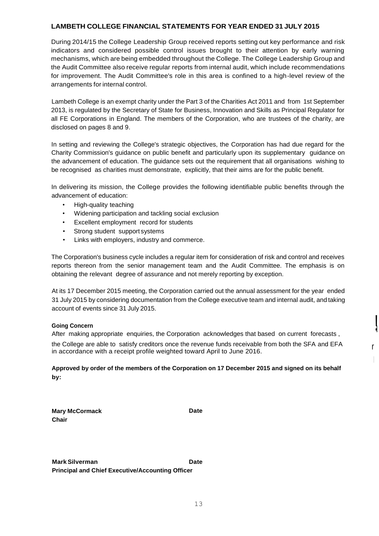During 2014/15 the College Leadership Group received reports setting out key performance and risk indicators and considered possible control issues brought to their attention by early warning mechanisms, which are being embedded throughout the College. The College Leadership Group and the Audit Committee also receive regular reports from internal audit, which include recommendations for improvement. The Audit Committee's role in this area is confined to a high-level review of the arrangements for internal control.

Lambeth College is an exempt charity under the Part 3 of the Charities Act 2011 and from 1st September 2013, is regulated by the Secretary of State for Business, Innovation and Skills as Principal Regulator for all FE Corporations in England. The members of the Corporation, who are trustees of the charity, are disclosed on pages 8 and 9.

In setting and reviewing the College's strategic objectives, the Corporation has had due regard for the Charity Commission's guidance on public benefit and particularly upon its supplementary guidance on the advancement of education. The guidance sets out the requirement that all organisations wishing to be recognised as charities must demonstrate, explicitly, that their aims are for the public benefit.

In delivering its mission, the College provides the following identifiable public benefits through the advancement of education:

- High-quality teaching
- Widening participation and tackling social exclusion
- Excellent employment record for students
- Strong student support systems
- Links with employers, industry and commerce.

The Corporation's business cycle includes a regular item for consideration of risk and control and receives reports thereon from the senior management team and the Audit Committee. The emphasis is on obtaining the relevant degree of assurance and not merely reporting by exception.

At its 17 December 2015 meeting, the Corporation carried out the annual assessment for the year ended 31 July 2015 by considering documentation from the College executive team and internal audit, and taking account of events since 31 July 2015.

!l

### **Going Concern**

After making appropriate enquiries, the Corporation acknowledges that based on current forecasts ,

the College are able to satisfy creditors once the revenue funds receivable from both the SFA and EFA reset of in accordance with a receipt profile weighted toward April to June 2016.

**Approved by order of the members of the Corporation on 17 December 2015 and signed on its behalf by:**

|       | <b>Mary McCormack</b> |
|-------|-----------------------|
| Chair |                       |

**Date**

**MarkSilverman Date Principal and Chief Executive/Accounting Officer**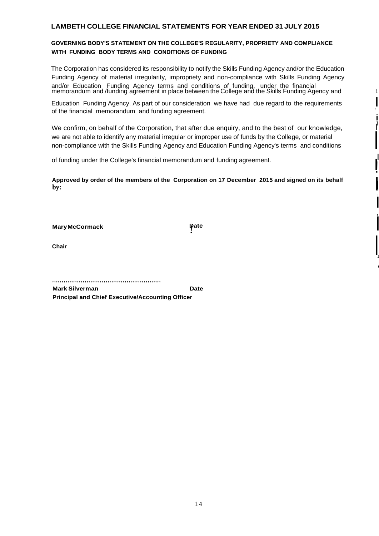# **GOVERNING BODY'S STATEMENT ON THE COLLEGE'S REGULARITY, PROPRIETY AND COMPLIANCE WITH FUNDING BODY TERMS AND CONDITIONS OF FUNDING**

The Corporation has considered its responsibility to notify the Skills Funding Agency and/or the Education Funding Agency of material irregularity, impropriety and non-compliance with Skills Funding Agency and/or Education Funding Agency terms and conditions of funding, under the financial memorandum and /funding agrẽemént in place between the College and the Skills Funding Agency and in it is it

Education Funding Agency. As part of our consideration we have had due regard to the requirements I of the financial memorandum and funding agreement.

We confirm, on behalf of the Corporation, that after due enquiry, and to the best of our knowledge, we are not able to identify any material irregular or improper use of funds by the College, or material non-compliance with the Skills Funding Agency and Education Funding Agency's terms and conditions

I

ii

I

I !<br>!

I

l

 $\prod_{i=1}^n$ ,1 '

:1

**STATE** 

of funding under the College's financial memorandum and funding agreement.

**Approved by order of the members of the Corporation on 17 December 2015 and signed on its behalf** <sup>I</sup> **by:** I

**Mary McCormack Date Date Date** 

**Chair**

.........................................................

**Mark Silverman Date Principal and Chief Executive/Accounting Officer**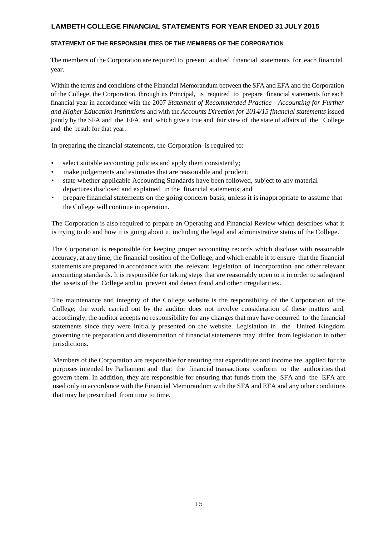#### **STATEMENT OF THE RESPONSIBILITIES OF THE MEMBERS OF THE CORPORATION**

The members of the Corporation are required to present audited financial statements for each financial year.

Within the terms and conditions of the Financial Memorandum between the SFA and EFA and the Corporation of the College, the Corporation, through its Principal, is required to prepare financial statements for each financial year in accordance with the 2007 *Statement of Recommended Practice* - *Accounting for Further and Higher Education Institutions* and with the *Accounts Direction for 2014/15 financial statements* issued jointly by the SFA and the EFA, and which give a true and fair view of the state of affairs of the College and the result for that year.

In preparing the financial statements, the Corporation is required to:

- select suitable accounting policies and apply them consistently;
- make judgements and estimates that are reasonable and prudent;
- state whether applicable Accounting Standards have been followed, subject to any material departures disclosed and explained in the financial statements; and
- prepare financial statements on the going concern basis, unless it isinappropriate to assume that the College will continue in operation.

The Corporation is also required to prepare an Operating and Financial Review which describes what it is trying to do and how it is going about it, including the legal and administrative status of the College.

The Corporation is responsible for keeping proper accounting records which disclose with reasonable accuracy, at any time, the financial position of the College, and which enable it to ensure that the financial statements are prepared in accordance with the relevant legislation of incorporation and other relevant accounting standards. It is responsible for taking steps that are reasonably open to it in order to safeguard the assets of the College and to prevent and detect fraud and other irregularities.

The maintenance and integrity of the College website is the responsibility of the Corporation of the College; the work carried out by the auditor does not involve consideration of these matters and, accordingly, the auditor accepts no responsibility for any changes that may have occurred to the financial statements since they were initially presented on the website. Legislation in the United Kingdom governing the preparation and dissemination of financial statements may differ from legislation in other jurisdictions.

Members of the Corporation are responsible for ensuring that expenditure and income are applied for the purposes intended by Parliament and that the financial transactions conform to the authorities that govern them. In addition, they are responsible for ensuring that funds from the SFA and the EFA are used only in accordance with the Financial Memorandum with the SFA and EFA and any other conditions that may be prescribed from time to time.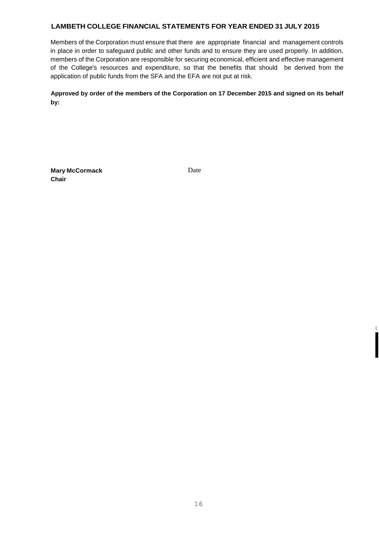Members of the Corporation must ensure that there are appropriate financial and management controls in place in order to safeguard public and other funds and to ensure they are used properly. In addition, members of the Corporation are responsible for securing economical, efficient and effective management of the College's resources and expenditure, so that the benefits that should be derived from the application of public funds from the SFA and the EFA are not put at risk.

**Approved by order of the members of the Corporation on 17 December 2015 and signed on its behalf by:**

**Mary McCormack** Date **Chair**

I

I,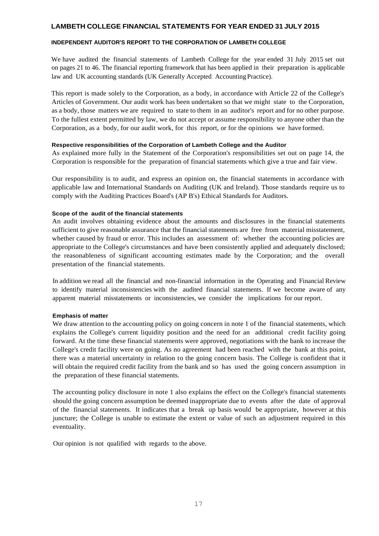### **INDEPENDENT AUDITOR'S REPORT TO THE CORPORATION OF LAMBETH COLLEGE**

We have audited the financial statements of Lambeth College for the year ended 31 July 2015 set out on pages 21 to 46. The financial reporting framework that has been applied in their preparation is applicable law and UK accounting standards (UK Generally Accepted Accounting Practice).

This report is made solely to the Corporation, as a body, in accordance with Article 22 of the College's Articles of Government. Our audit work has been undertaken so that we might state to the Corporation, as a body, those matters we are required to state to them in an auditor's report and for no other purpose. To the fullest extent permitted by law, we do not accept or assume responsibility to anyone other than the Corporation, as a body, for our audit work, for this report, or for the opinions we have formed.

#### **Respective responsibilities of the Corporation of Lambeth College and the Auditor**

As explained more fully in the Statement of the Corporation's responsibilities set out on page 14, the Corporation is responsible for the preparation of financial statements which give a true and fair view.

Our responsibility is to audit, and express an opinion on, the financial statements in accordance with applicable law and International Standards on Auditing (UK and Ireland). Those standards require us to comply with the Auditing Practices Board's (AP B's) Ethical Standards for Auditors.

#### **Scope of the audit of the financial statements**

An audit involves obtaining evidence about the amounts and disclosures in the financial statements sufficient to give reasonable assurance that the financial statements are free from material misstatement, whether caused by fraud or error. This includes an assessment of: whether the accounting policies are appropriate to the College's circumstances and have been consistently applied and adequately disclosed; the reasonableness of significant accounting estimates made by the Corporation; and the overall presentation of the financial statements.

In addition we read all the financial and non-financial information in the Operating and Financial Review to identify material inconsistencies with the audited financial statements. If we become aware of any apparent material misstatements or inconsistencies, we consider the implications for our report.

#### **Emphasis of matter**

We draw attention to the accounting policy on going concern in note 1 of the financial statements, which explains the College's current liquidity position and the need for an additional credit facility going forward. At the time these financial statements were approved, negotiations with the bank to increase the College's credit facility were on going. As no agreement had been reached with the bank at this point, there was a material uncertainty in relation to the going concern basis. The College is confident that it will obtain the required credit facility from the bank and so has used the going concern assumption in the preparation of these financial statements.

The accounting policy disclosure in note 1 also explains the effect on the College's financial statements should the going concern assumption be deemed inappropriate due to events after the date of approval of the financial statements. It indicates that a break up basis would be appropriate, however at this juncture; the College is unable to estimate the extent or value of such an adjustment required in this eventuality.

Our opinion is not qualified with regards to the above.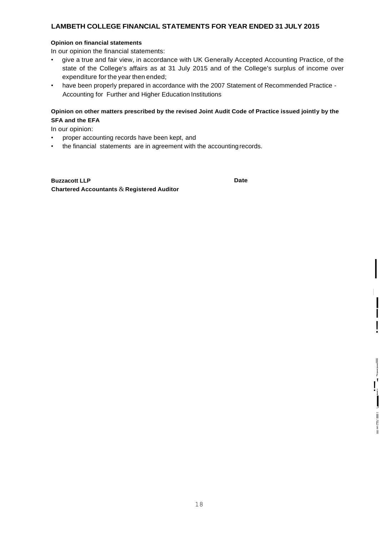#### **Opinion on financial statements**

In our opinion the financial statements:

- give a true and fair view, in accordance with UK Generally Accepted Accounting Practice, of the state of the College's affairs as at 31 July 2015 and of the College's surplus of income over expenditure for the year then ended;
- have been properly prepared in accordance with the 2007 Statement of Recommended Practice Accounting for Further and Higher Education Institutions

# **Opinion on other matters prescribed by the revised Joint Audit Code of Practice issued jointly by the SFA and the EFA**

In our opinion:

- proper accounting records have been kept, and
- the financial statements are in agreement with the accountingrecords.

**Buzzacott LLP Chartered Accountants** &**Registered Auditor** **Date**

*i*

! '

i I,I

> ii i! Ii II

II I I

I

I I

!<br>!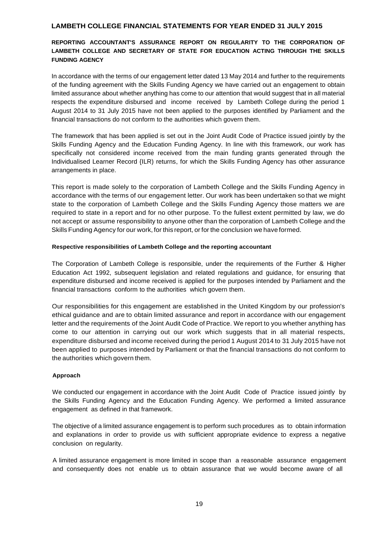# **REPORTING ACCOUNTANT'S ASSURANCE REPORT ON REGULARITY TO THE CORPORATION OF LAMBETH COLLEGE AND SECRETARY OF STATE FOR EDUCATION ACTING THROUGH THE SKILLS FUNDING AGENCY**

In accordance with the terms of our engagement letter dated 13 May 2014 and further to the requirements of the funding agreement with the Skills Funding Agency we have carried out an engagement to obtain limited assurance about whether anything has come to our attention that would suggest that in all material respects the expenditure disbursed and income received by Lambeth College during the period 1 August 2014 to 31 July 2015 have not been applied to the purposes identified by Parliament and the financial transactions do not conform to the authorities which govern them.

The framework that has been applied is set out in the Joint Audit Code of Practice issued jointly by the Skills Funding Agency and the Education Funding Agency. In line with this framework, our work has specifically not considered income received from the main funding grants generated through the Individualised Learner Record {ILR) returns, for which the Skills Funding Agency has other assurance arrangements in place.

This report is made solely to the corporation of Lambeth College and the Skills Funding Agency in accordance with the terms of our engagement letter. Our work has been undertaken so that we might state to the corporation of Lambeth College and the Skills Funding Agency those matters we are required to state in a report and for no other purpose. To the fullest extent permitted by law, we do not accept or assume responsibility to anyone other than the corporation of Lambeth College and the Skills Funding Agency for our work, for this report, or for the conclusion we have formed.

#### **Respective responsibilities of Lambeth College and the reporting accountant**

The Corporation of Lambeth College is responsible, under the requirements of the Further & Higher Education Act 1992, subsequent legislation and related regulations and guidance, for ensuring that expenditure disbursed and income received is applied for the purposes intended by Parliament and the financial transactions conform to the authorities which govern them.

Our responsibilities for this engagement are established in the United Kingdom by our profession's ethical guidance and are to obtain limited assurance and report in accordance with our engagement letter and the requirements of the Joint Audit Code of Practice. We report to you whether anything has come to our attention in carrying out our work which suggests that in all material respects, expenditure disbursed and income received during the period 1 August 2014 to 31 July 2015 have not been applied to purposes intended by Parliament or that the financial transactions do not conform to the authorities which govern them.

### **Approach**

We conducted our engagement in accordance with the Joint Audit Code of Practice issued jointly by the Skills Funding Agency and the Education Funding Agency. We performed a limited assurance engagement as defined in that framework.

The objective of a limited assurance engagement is to perform such procedures as to obtain information and explanations in order to provide us with sufficient appropriate evidence to express a negative conclusion on regularity.

A limited assurance engagement is more limited in scope than a reasonable assurance engagement and consequently does not enable us to obtain assurance that we would become aware of all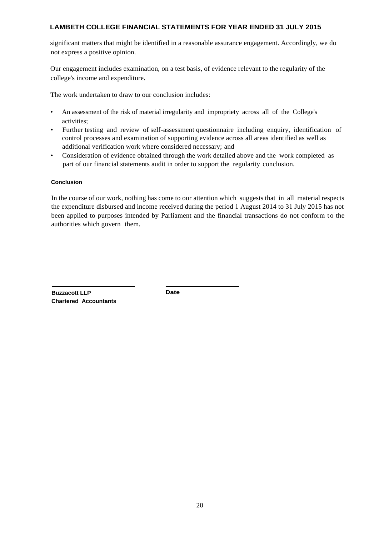significant matters that might be identified in a reasonable assurance engagement. Accordingly, we do not express a positive opinion.

Our engagement includes examination, on a test basis, of evidence relevant to the regularity of the college's income and expenditure.

The work undertaken to draw to our conclusion includes:

- An assessment of the risk of material irregularity and impropriety across all of the College's activities;
- Further testing and review of self-assessment questionnaire including enquiry, identification of control processes and examination of supporting evidence across all areas identified as well as additional verification work where considered necessary; and
- Consideration of evidence obtained through the work detailed above and the work completed as part of our financial statements audit in order to support the regularity conclusion.

### **Conclusion**

In the course of our work, nothing has come to our attention which suggests that in all material respects the expenditure disbursed and income received during the period 1 August 2014 to 31 July 2015 has not been applied to purposes intended by Parliament and the financial transactions do not conform to the authorities which govern them.

**Buzzacott LLP Chartered Accountants** **Date**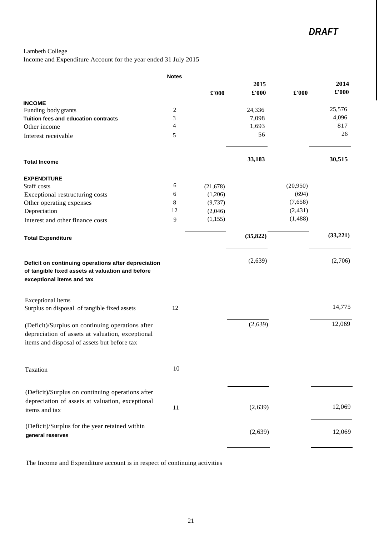Lambeth College

Income and Expenditure Account for the year ended 31 July 2015

|                                                                                                                                                     | <b>Notes</b> |           |           |          |          |
|-----------------------------------------------------------------------------------------------------------------------------------------------------|--------------|-----------|-----------|----------|----------|
|                                                                                                                                                     |              |           | 2015      |          | 2014     |
|                                                                                                                                                     |              | £'000     | £'000     | £'000    | £'000    |
| <b>INCOME</b>                                                                                                                                       |              |           |           |          |          |
| Funding body grants                                                                                                                                 | 2            |           | 24,336    |          | 25,576   |
| Tuition fees and education contracts                                                                                                                | 3            |           | 7,098     |          | 4,096    |
| Other income                                                                                                                                        | 4            |           | 1,693     |          | 817      |
| Interest receivable                                                                                                                                 | 5            |           | 56        |          | 26       |
| <b>Total Income</b>                                                                                                                                 |              |           | 33,183    |          | 30,515   |
| <b>EXPENDITURE</b>                                                                                                                                  |              |           |           |          |          |
| Staff costs                                                                                                                                         | 6            | (21, 678) |           | (20,950) |          |
| Exceptional restructuring costs                                                                                                                     | 6            | (1,206)   |           | (694)    |          |
| Other operating expenses                                                                                                                            | 8            | (9, 737)  |           | (7,658)  |          |
| Depreciation                                                                                                                                        | 12           | (2,046)   |           | (2, 431) |          |
| Interest and other finance costs                                                                                                                    | 9            | (1,155)   |           | (1,488)  |          |
| <b>Total Expenditure</b>                                                                                                                            |              |           | (35, 822) |          | (33,221) |
| Deficit on continuing operations after depreciation<br>of tangible fixed assets at valuation and before<br>exceptional items and tax                |              |           | (2,639)   |          | (2,706)  |
| Exceptional items<br>Surplus on disposal of tangible fixed assets                                                                                   | 12           |           |           |          | 14,775   |
|                                                                                                                                                     |              |           |           |          |          |
| (Deficit)/Surplus on continuing operations after<br>depreciation of assets at valuation, exceptional<br>items and disposal of assets but before tax |              |           | (2,639)   |          | 12,069   |
| Taxation                                                                                                                                            | 10           |           |           |          |          |
| (Deficit)/Surplus on continuing operations after<br>depreciation of assets at valuation, exceptional<br>items and tax                               | 11           |           | (2,639)   |          | 12,069   |
| (Deficit)/Surplus for the year retained within<br>general reserves                                                                                  |              |           | (2,639)   |          | 12,069   |
|                                                                                                                                                     |              |           |           |          |          |

The Income and Expenditure account is in respect of continuing activities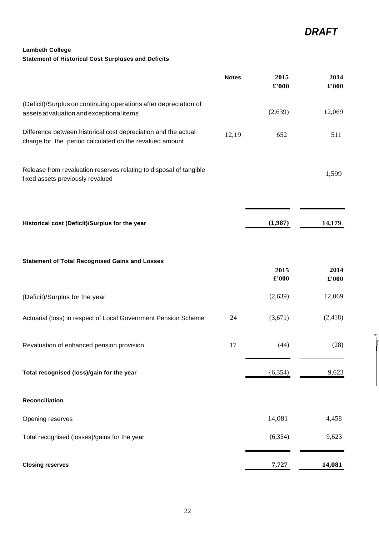*w*  I\_ I)

# **Lambeth College Statement of Historical Cost Surpluses and Deficits**

|                                                                                                                           | <b>Notes</b> | 2015<br>$\pmb{\pounds}$ '000 | 2014<br>$\pmb{\pounds}$ '000 |
|---------------------------------------------------------------------------------------------------------------------------|--------------|------------------------------|------------------------------|
| (Deficit)/Surplus on continuing operations after depreciation of<br>assets at valuation and exceptional items             |              | (2,639)                      | 12,069                       |
| Difference between historical cost depreciation and the actual<br>charge for the period calculated on the revalued amount | 12,19        | 652                          | 511                          |
| Release from revaluation reserves relating to disposal of tangible<br>fixed assets previously revalued                    |              |                              | 1,599                        |
| Historical cost (Deficit)/Surplus for the year                                                                            |              | (1,987)                      | 14,179                       |
| <b>Statement of Total Recognised Gains and Losses</b>                                                                     |              | 2015<br>£'000                | 2014<br>$\pmb{\pounds}$ '000 |
| (Deficit)/Surplus for the year                                                                                            |              | (2,639)                      | 12,069                       |
| Actuarial (loss) in respect of Local Government Pension Scheme                                                            | 24           | (3,671)                      | (2, 418)                     |
| Revaluation of enhanced pension provision                                                                                 | 17           | (44)                         | (28)                         |
| Total recognised (loss)/gain for the year                                                                                 |              | (6, 354)                     | 9,623                        |
| Reconciliation                                                                                                            |              |                              |                              |
| Opening reserves                                                                                                          |              | 14,081                       | 4,458                        |
| Total recognised (losses)/gains for the year                                                                              |              | (6, 354)                     | 9,623                        |
| <b>Closing reserves</b>                                                                                                   |              | 7,727                        | 14,081                       |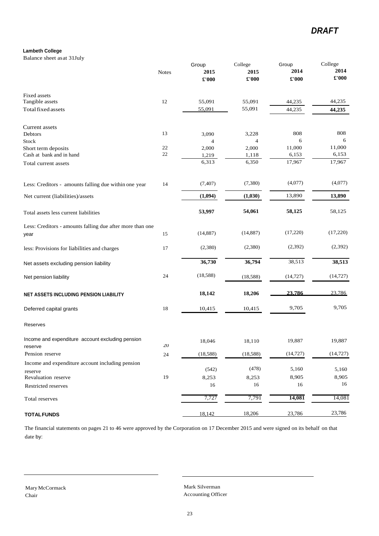# *DRAFT*

#### **Lambeth College**

Balance sheet asat 31July

|                                                                   | <b>Notes</b> | Group<br>2015<br>£'000 | College<br>2015<br>£'000 | Group<br>2014<br>£'000 | College<br>2014<br>$\pounds 000$ |
|-------------------------------------------------------------------|--------------|------------------------|--------------------------|------------------------|----------------------------------|
| Fixed assets                                                      |              |                        |                          |                        |                                  |
| Tangible assets                                                   | 12           | 55,091                 | 55,091                   | 44,235                 | 44,235                           |
| Total fixed assets                                                |              | 55,091                 | 55,091                   | 44,235                 | 44,235                           |
| Current assets                                                    |              |                        |                          |                        |                                  |
| Debtors                                                           | 13           | 3,090                  | 3,228                    | 808                    | 808                              |
| Stock                                                             |              | $\overline{4}$         | $\overline{4}$           | 6                      | 6                                |
| Short term deposits                                               | 22           | 2,000                  | 2,000                    | 11,000                 | 11,000                           |
| Cash at bank and in hand                                          | 22           | 1,219                  | 1,118                    | 6,153                  | 6,153                            |
| Total current assets                                              |              | 6,313                  | 6,350                    | 17,967                 | 17,967                           |
| Less: Creditors - amounts falling due within one year             | 14           | (7, 407)               | (7, 380)                 | (4,077)                | (4,077)                          |
| Net current (liabilities)/assets                                  |              | (1,094)                | (1,030)                  | 13,890                 | 13,890                           |
| Total assets less current liabilities                             |              | 53,997                 | 54,061                   | 58,125                 | 58,125                           |
| Less: Creditors - amounts falling due after more than one<br>year | 15           | (14, 887)              | (14, 887)                | (17,220)               | (17,220)                         |
|                                                                   |              |                        |                          |                        |                                  |
| less: Provisions for liabilities and charges                      | 17           | (2,380)                | (2,380)                  | (2,392)                | (2, 392)                         |
| Net assets excluding pension liability                            |              | 36,730                 | 36,794                   | 38,513                 | 38,513                           |
| Net pension liability                                             | 24           | (18, 588)              | (18, 588)                | (14, 727)              | (14, 727)                        |
| NET ASSETS INCLUDING PENSION LIABILITY                            |              | 18,142                 | 18,206                   | 23.786                 | 23,786                           |
| Deferred capital grants                                           | 18           | 10,415                 | 10,415                   | 9,705                  | 9,705                            |
| Reserves                                                          |              |                        |                          |                        |                                  |
| Income and expenditure account excluding pension<br>reserve       | 20           | 18,046                 | 18,110                   | 19,887                 | 19,887                           |
| Pension reserve                                                   | 24           | (18, 588)              | (18, 588)                | (14, 727)              | (14, 727)                        |
| Income and expenditure account including pension                  |              |                        |                          |                        |                                  |
|                                                                   |              | (542)                  | (478)                    | 5,160                  | 5,160                            |
| reserve<br>Revaluation reserve                                    | 19           | 8,253                  | 8,253                    | 8,905                  | 8,905                            |
| Restricted reserves                                               |              | 16                     | 16                       | 16                     | 16                               |
| Total reserves                                                    |              | 7,727                  | 7,791                    | 14,081                 | 14,081                           |
| <b>TOTAL FUNDS</b>                                                |              | 18,142                 | 18,206                   | 23,786                 | 23,786                           |

The financial statements on pages 21 to 46 were approved by the Corporation on 17 December 2015 and were signed on its behalf on that date by:

Mark Silverman Accounting Officer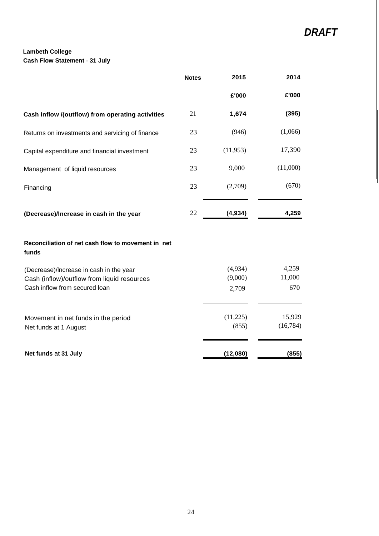# **Lambeth College Cash Flow Statement** - **31 July**

|                                                                              | <b>Notes</b> | 2015             | 2014          |
|------------------------------------------------------------------------------|--------------|------------------|---------------|
|                                                                              |              | £'000            | £'000         |
| Cash inflow /(outflow) from operating activities                             | 21           | 1,674            | (395)         |
| Returns on investments and servicing of finance                              | 23           | (946)            | (1,066)       |
| Capital expenditure and financial investment                                 | 23           | (11, 953)        | 17,390        |
| Management of liquid resources                                               | 23           | 9,000            | (11,000)      |
| Financing                                                                    | 23           | (2,709)          | (670)         |
| (Decrease)/Increase in cash in the year                                      | 22           | (4,934)          | 4,259         |
| Reconciliation of net cash flow to movement in net<br>funds                  |              |                  |               |
| (Decrease)/Increase in cash in the year                                      |              | (4,934)          | 4,259         |
| Cash (inflow)/outflow from liquid resources<br>Cash inflow from secured loan |              | (9,000)<br>2,709 | 11,000<br>670 |
| Movement in net funds in the period                                          |              | (11,225)         | 15,929        |
| Net funds at 1 August                                                        |              | (855)            | (16, 784)     |
| Net funds at 31 July                                                         |              | (12,080)         | (855)         |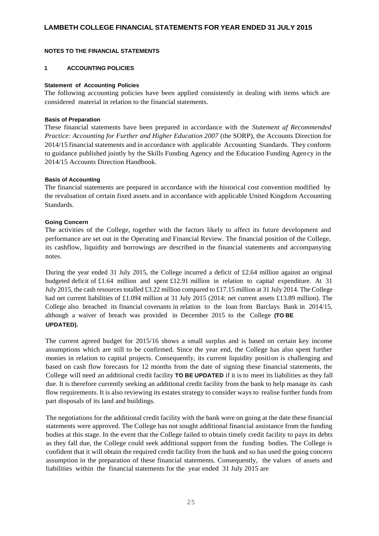#### **NOTES TO THE FINANCIAL STATEMENTS**

#### **1 ACCOUNTING POLICIES**

#### **Statement of Accounting Policies**

The following accounting policies have been applied consistently in dealing with items which are considered material in relation to the financial statements.

#### **Basis of Preparation**

These financial statements have been prepared in accordance with the *Statement af Recommended Practice: Accounting for Further and Higher Education 2007* (the SORP), the Accounts Direction for 2014/15 financial statements and in accordance with applicable Accounting Standards. They conform to guidance published jointly by the Skills Funding Agency and the Education Funding Agency in the 2014/15 Accounts Direction Handbook.

### **Basis of Accounting**

The financial statements are prepared in accordance with the historical cost convention modified by the revaluation of certain fixed assets and in accordance with applicable United Kingdom Accounting Standards.

#### **Going Concern**

The activities of the College, together with the factors likely to affect its future development and performance are set out in the Operating and Financial Review. The financial position of the College, its cashflow, liquidity and borrowings are described in the financial statements and accompanying notes.

During the year ended 31 July 2015, the College incurred a deficit of £2.64 million against an original budgeted deficit of £1.64 million and spent £12.91 million in relation to capital expenditure. At 31 July 2015, the cash resources totalled £3.22 million compared to £17.15 million at 31 July 2014. The College had net current liabilities of £1.094 million at 31 July 2015 (2014: net current assets £13.89 million). The College also breached its financial covenants in relation to the loan from Barclays Bank in 2014/15, although a waiver of breach was provided in December 2015 to the College **(TO BE UPDATED).**

The current agreed budget for 2015/16 shows a small surplus and is based on certain key income assumptions which are still to be confirmed. Since the year end, the College has also spent further monies in relation to capital projects. Consequently, its current liquidity position is challenging and based on cash flow forecasts for 12 months from the date of signing these financial statements, the College will need an additional credit facility **TO BE UPDATED** if it is to meet its liabilities as they fall due. It is therefore currently seeking an additional credit facility from the bank to help manage its cash flow requirements. It is also reviewing its estates strategy to consider ways to realise further funds from part disposals of its land and buildings.

The negotiations for the additional credit facility with the bank were on going at the date these financial statements were approved. The College has not sought additional financial assistance from the funding bodies at this stage. In the event that the College failed to obtain timely credit facility to pays its debts as they fall due, the College could seek additional support from the funding bodies. The College is confident that it will obtain the required credit facility from the bank and so has used the going concern assumption in the preparation of these financial statements. Consequently, the values of assets and liabilities within the financial statements for the year ended 31 July 2015 are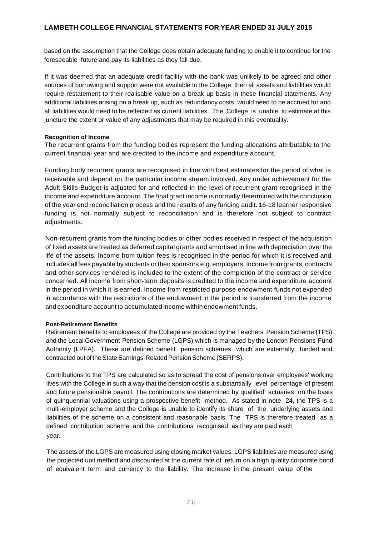based on the assumption that the College does obtain adequate funding to enable it to continue for the foreseeable future and pay its liabilities as they fall due.

If it was deemed that an adequate credit facility with the bank was unlikely to be agreed and other sources of borrowing and support were not available to the College, then all assets and liabilities would require restatement to their realisable value on a break up basis in these financial statements. Any additional liabilities arising on a break up, such as redundancy costs, would need to be accrued for and all liabilities would need to be reflected as current liabilities. The College is unable to estimate at this juncture the extent or value of any adjustments that may be required in this eventuality.

#### **Recognition of Income**

The recurrent grants from the funding bodies represent the funding allocations attributable to the current financial year and are credited to the income and expenditure account.

Funding body recurrent grants are recognised in line with best estimates for the period of what is receivable and depend on the particular income stream involved. Any under achievement for the Adult Skills Budget is adjusted for and reflected in the level of recurrent grant recognised in the income and expenditure account. The final grant income is normally determined with the conclusion of the year end reconciliation process and the results of any funding audit. 16-18 learner responsive funding is not normally subject to reconciliation and is therefore not subject to contract adjustments.

Non-recurrent grants from the funding bodies or other bodies received in respect of the acquisition of fixed assets are treated as deferred capital grants and amortised in line with depreciation over the life of the assets. Income from tuition fees is recognised in the period for which it is received and includes allfees payable by students ortheir sponsors e.g. employers. Income from grants, contracts and other services rendered is included to the extent of the completion of the contract or service concerned. All income from short-term deposits is credited to the income and expenditure account in the period in which it is earned. Income from restricted purpose endowment funds not expended in accordance with the restrictions of the endowment in the period is transferred from the income andexpenditure account to accumulated income within endowment funds.

### **Post-Retirement Benefits**

Retirement benefits to employees of the College are provided by the Teachers' Pension Scheme (TPS) and the Local Government Pension Scheme (LGPS) which is managed by the London Pensions Fund Authority (LPFA). These are defined benefit pension schemes which are externally funded and contracted out of the State Earnings-Related Pension Scheme (SERPS).

Contributions to the TPS are calculated so as to spread the cost of pensions over employees' working lives with the College in such a way that the pension cost is a substantially level percentage of present and future pensionable payroll. The contributions are determined by qualified actuaries on the basis of quinquennial valuations using a prospective benefit method. As stated in note 24, the TPS is a multi-employer scheme and the College is unable to identify its share of the underlying assets and liabilities of the scheme on a consistent and reasonable basis. The TPS is therefore treated as a defined contribution scheme and the contributions recognised as they are paid each year.

The assets of the LGPS are measured using closing market values. LGPS liabilities are measured using the projected unit method and discounted at the current rate of return on a high quality corporate bond of equivalent term and currency to the liability. The increase in the present value of the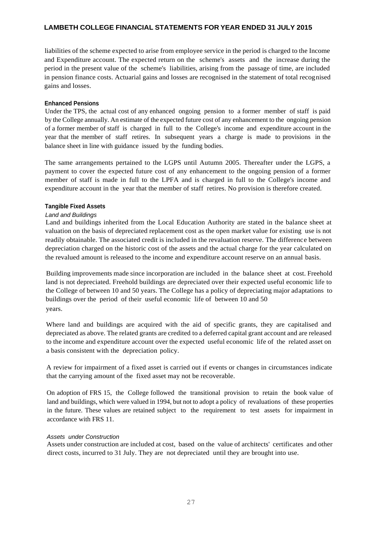liabilities of the scheme expected to arise from employee service in the period is charged to the Income and Expenditure account. The expected return on the scheme's assets and the increase during the period in the present value of the scheme's liabilities, arising from the passage of time, are included in pension finance costs. Actuarial gains and losses are recognised in the statement of total recognised gains and losses.

#### **Enhanced Pensions**

Under the TPS, the actual cost of any enhanced ongoing pension to a former member of staff is paid by the College annually. An estimate of the expected future cost of any enhancement to the ongoing pension of a former member of staff is charged in full to the College's income and expenditure account in the year that the member of staff retires. In subsequent years a charge is made to provisions in the balance sheet in line with guidance issued by the funding bodies.

The same arrangements pertained to the LGPS until Autumn 2005. Thereafter under the LGPS, a payment to cover the expected future cost of any enhancement to the ongoing pension of a former member of staff is made in full to the LPFA and is charged in full to the College's income and expenditure account in the year that the member of staff retires. No provision is therefore created.

### **Tangible Fixed Assets**

#### *Land and Buildings*

Land and buildings inherited from the Local Education Authority are stated in the balance sheet at valuation on the basis of depreciated replacement cost as the open market value for existing use is not readily obtainable. The associated credit is included in the revaluation reserve. The difference between depreciation charged on the historic cost of the assets and the actual charge for the year calculated on the revalued amount is released to the income and expenditure account reserve on an annual basis.

Building improvements made since incorporation are included in the balance sheet at cost. Freehold land is not depreciated. Freehold buildings are depreciated over their expected useful economic life to the College of between 10 and 50 years. The College has a policy of depreciating major adaptations to buildings over the period of their useful economic life of between 10 and 50 years.

Where land and buildings are acquired with the aid of specific grants, they are capitalised and depreciated as above. The related grants are credited to a deferred capital grant account and are released to the income and expenditure account over the expected useful economic life of the related asset on a basis consistent with the depreciation policy.

A review for impairment of a fixed asset is carried out if events or changes in circumstances indicate that the carrying amount of the fixed asset may not be recoverable.

On adoption of FRS 15, the College followed the transitional provision to retain the book value of land and buildings, which were valued in 1994, but not to adopt a policy of revaluations of these properties in the future. These values are retained subject to the requirement to test assets for impairment in accordance with FRS 11.

#### *Assets under Construction*

Assets under construction are included at cost, based on the value of architects' certificates and other direct costs, incurred to 31 July. They are not depreciated until they are brought into use.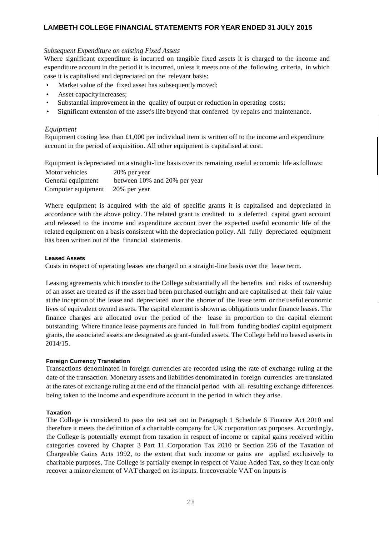### *Subsequent Expenditure on existing Fixed Assets*

Where significant expenditure is incurred on tangible fixed assets it is charged to the income and expenditure account in the period it is incurred, unless it meets one of the following criteria, in which case it is capitalised and depreciated on the relevant basis:

- Market value of the fixed asset has subsequently moved;
- Asset capacity increases;
- Substantial improvement in the quality of output or reduction in operating costs;
- Significant extension of the asset's life beyond that conferred by repairs and maintenance.

# *Equipment*

Equipment costing less than  $\pounds$ 1,000 per individual item is written off to the income and expenditure account in the period of acquisition. All other equipment is capitalised at cost.

Equipment is depreciated on a straight-line basis over its remaining useful economic life asfollows:

| Motor vehicles     | 20% per year                 |
|--------------------|------------------------------|
| General equipment  | between 10% and 20% per year |
| Computer equipment | 20% per year                 |

Where equipment is acquired with the aid of specific grants it is capitalised and depreciated in accordance with the above policy. The related grant is credited to a deferred capital grant account and released to the income and expenditure account over the expected useful economic life of the related equipment on a basis consistent with the depreciation policy. All fully depreciated equipment has been written out of the financial statements.

#### **Leased Assets**

Costs in respect of operating leases are charged on a straight-line basis over the lease term.

Leasing agreements which transfer to the College substantially all the benefits and risks of ownership of an asset are treated as if the asset had been purchased outright and are capitalised at their fair value at the inception of the lease and depreciated over the shorter of the lease term or the useful economic lives of equivalent owned assets. The capital element is shown as obligations under finance leases. The finance charges are allocated over the period of the lease in proportion to the capital element outstanding. Where finance lease payments are funded in full from funding bodies' capital equipment grants, the associated assets are designated as grant-funded assets. The College held no leased assets in 2014/15.

### **Foreign Currency Translation**

Transactions denominated in foreign currencies are recorded using the rate of exchange ruling at the date of the transaction. Monetary assets and liabilities denominated in foreign currencies are translated at the rates of exchange ruling at the end of the financial period with all resulting exchange differences being taken to the income and expenditure account in the period in which they arise.

### **Taxation**

The College is considered to pass the test set out in Paragraph 1 Schedule 6 Finance Act 2010 and therefore it meets the definition of a charitable company for UK corporation tax purposes. Accordingly, the College is potentially exempt from taxation in respect of income or capital gains received within categories covered by Chapter 3 Part 11 Corporation Tax 2010 or Section 256 of the Taxation of Chargeable Gains Acts 1992, to the extent that such income or gains are applied exclusively to charitable purposes. The College is partially exempt in respect of Value Added Tax, so they it can only recover a minor element of VAT charged on its inputs. Irrecoverable VAT on inputs is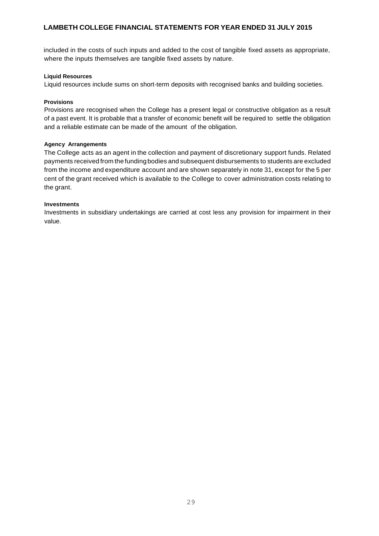included in the costs of such inputs and added to the cost of tangible fixed assets as appropriate, where the inputs themselves are tangible fixed assets by nature.

#### **Liquid Resources**

Liquid resources include sums on short-term deposits with recognised banks and building societies.

#### **Provisions**

Provisions are recognised when the College has a present legal or constructive obligation as a result of a past event. It is probable that a transfer of economic benefit will be required to settle the obligation and a reliable estimate can be made of the amount of the obligation.

#### **Agency Arrangements**

The College acts as an agent in the collection and payment of discretionary support funds. Related payments received from the fundingbodies and subsequent disbursements to students are excluded from the income and expenditure account and are shown separately in note 31, except for the 5 per cent of the grant received which is available to the College to cover administration costs relating to the grant.

#### **Investments**

Investments in subsidiary undertakings are carried at cost less any provision for impairment in their value.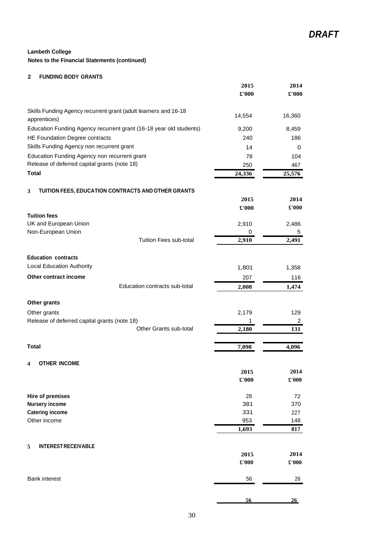# **Notes to the Financial Statements (continued)**

# **2 FUNDING BODY GRANTS**

|                                                                    | 2015<br>£'000          | 2014<br>£'000                 |
|--------------------------------------------------------------------|------------------------|-------------------------------|
| Skills Funding Agency recurrent grant (adult learners and 16-18    | 14,554                 | 16,360                        |
| apprentices)                                                       |                        |                               |
| Education Funding Agency recurrent grant (16-18 year old students) | 9,200                  | 8,459                         |
| HE Foundation Degree contracts                                     | 240                    | 186                           |
| Skills Funding Agency non recurrent grant                          | 14                     | 0                             |
| Education Funding Agency non recurrent grant                       | 78                     | 104                           |
| Release of deferred capital grants (note 18)                       | 250                    | 467                           |
| <b>Total</b>                                                       | 24,336                 | 25,576                        |
| TUITION FEES, EDUCATION CONTRACTS AND OTHER GRANTS<br>3            |                        |                               |
|                                                                    | 2015                   | 2014                          |
|                                                                    | £'000                  | $\pmb{\pounds}$ '000          |
| <b>Tuition fees</b>                                                |                        |                               |
| UK and European Union                                              | 2,910                  | 2,486                         |
| Non-European Union                                                 | 0                      | 5                             |
| Tuition Fees sub-total                                             | 2,910                  | 2,491                         |
| <b>Education contracts</b>                                         |                        |                               |
| <b>Local Education Authority</b>                                   | 1,801                  | 1,358                         |
| Other contract income                                              | 207                    | 116                           |
| Education contracts sub-total                                      | 2,008                  | 1,474                         |
| Other grants                                                       |                        |                               |
| Other grants                                                       | 2,179                  | 129                           |
| Release of deferred capital grants (note 18)                       | 1                      | 2                             |
| Other Grants sub-total                                             | 2,180                  | 131                           |
| <b>Total</b>                                                       | 7,098                  | 4,096                         |
|                                                                    |                        |                               |
| <b>OTHER INCOME</b><br>4                                           |                        |                               |
|                                                                    | 2015<br>$\pounds$ '000 | 2014<br>$\pmb{\pounds}$ '000  |
|                                                                    |                        |                               |
| <b>Hire of premises</b>                                            | 28                     | 72                            |
| <b>Nursery income</b>                                              | 381                    | 370                           |
| <b>Catering income</b>                                             | 331                    | 227                           |
| Other income                                                       | 953                    | 148                           |
|                                                                    | 1,693                  | 817                           |
| 5<br><b>INTEREST RECEIVABLE</b>                                    |                        |                               |
|                                                                    | 2015                   | 2014                          |
|                                                                    | $\pounds 000$          | $\pmb{\pounds}^{\text{r}}000$ |
| <b>Bank interest</b>                                               | 56                     | 26                            |
|                                                                    |                        |                               |
|                                                                    | 56                     | 26                            |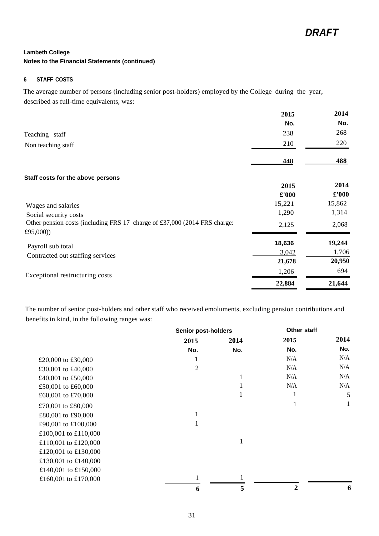#### **6 STAFF COSTS**

The average number of persons (including senior post-holders) employed by the College during the year, described as full-time equivalents, was:

|                                                                                        | 2015   | 2014   |
|----------------------------------------------------------------------------------------|--------|--------|
|                                                                                        | No.    | No.    |
| Teaching staff                                                                         | 238    | 268    |
| Non teaching staff                                                                     | 210    | 220    |
|                                                                                        | 448    | 488    |
| Staff costs for the above persons                                                      |        |        |
|                                                                                        | 2015   | 2014   |
|                                                                                        | £'000  | £'000  |
| Wages and salaries                                                                     | 15,221 | 15,862 |
| Social security costs                                                                  | 1,290  | 1,314  |
| Other pension costs (including FRS 17 charge of £37,000 (2014 FRS charge:<br>£95,000)) | 2,125  | 2,068  |
| Payroll sub total                                                                      | 18,636 | 19,244 |
| Contracted out staffing services                                                       | 3,042  | 1,706  |
|                                                                                        | 21,678 | 20,950 |
| Exceptional restructuring costs                                                        | 1,206  | 694    |
|                                                                                        | 22,884 | 21,644 |

The number of senior post-holders and other staff who received emoluments, excluding pension contributions and benefits in kind, in the following ranges was:

|                      | <b>Senior post-holders</b> |      | Other staff  |      |
|----------------------|----------------------------|------|--------------|------|
|                      | 2015                       | 2014 | 2015         | 2014 |
|                      | No.                        | No.  | No.          | No.  |
| £20,000 to £30,000   | 1                          |      | N/A          | N/A  |
| £30,001 to £40,000   | $\overline{2}$             |      | N/A          | N/A  |
| £40,001 to £50,000   |                            | 1    | N/A          | N/A  |
| £50,001 to £60,000   |                            |      | N/A          | N/A  |
| £60,001 to £70,000   |                            |      | 1            | 5    |
| £70,001 to £80,000   |                            |      | 1            | 1    |
| £80,001 to £90,000   | 1                          |      |              |      |
| £90,001 to £100,000  | 1                          |      |              |      |
| £100,001 to £110,000 |                            |      |              |      |
| £110,001 to £120,000 |                            | 1    |              |      |
| £120,001 to £130,000 |                            |      |              |      |
| £130,001 to £140,000 |                            |      |              |      |
| £140,001 to £150,000 |                            |      |              |      |
| £160,001 to £170,000 | $\mathbf{1}$               |      |              |      |
|                      | 6                          | 5    | $\mathbf{2}$ | n    |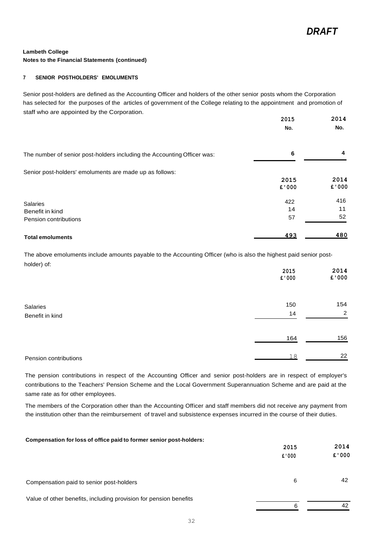#### **7 SENIOR POSTHOLDERS' EMOLUMENTS**

Senior post-holders are defined as the Accounting Officer and holders of the other senior posts whom the Corporation has selected for the purposes of the articles of government of the College relating to the appointment and promotion of staff who are appointed by the Corporation.

|                                                                         | 2015<br>No. | 2014<br>No. |
|-------------------------------------------------------------------------|-------------|-------------|
|                                                                         |             |             |
| The number of senior post-holders including the Accounting Officer was: | 6           | 4           |
| Senior post-holders' emoluments are made up as follows:                 |             |             |
|                                                                         | 2015        | 2014        |
|                                                                         | £'000       | £ '000      |
| Salaries                                                                | 422         | 416         |
| Benefit in kind                                                         | 14          | 11          |
| Pension contributions                                                   | 57          | 52          |
| <b>Total emoluments</b>                                                 | <u>493</u>  | 480         |

The above emoluments include amounts payable to the Accounting Officer (who is also the highest paid senior postholder) of:

| $\sim$ $\sim$ $\sim$ $\sim$ | 2015<br>£ '000 | 2014<br>£'000  |
|-----------------------------|----------------|----------------|
| Salaries                    | 150            | 154            |
| Benefit in kind             | 14             | $\overline{2}$ |
|                             | 164            | 156            |
| Pension contributions       | 18             | 22             |

The pension contributions in respect of the Accounting Officer and senior post-holders are in respect of employer's contributions to the Teachers' Pension Scheme and the Local Government Superannuation Scheme and are paid at the same rate as for other employees.

The members of the Corporation other than the Accounting Officer and staff members did not receive any payment from the institution other than the reimbursement of travel and subsistence expenses incurred in the course of their duties.

| Compensation for loss of office paid to former senior post-holders: |       |       |
|---------------------------------------------------------------------|-------|-------|
|                                                                     | 2015  | 2014  |
|                                                                     | £'000 | £'000 |
| Compensation paid to senior post-holders                            | 6     | 42    |
| Value of other benefits, including provision for pension benefits   |       |       |
|                                                                     | 6     | 42    |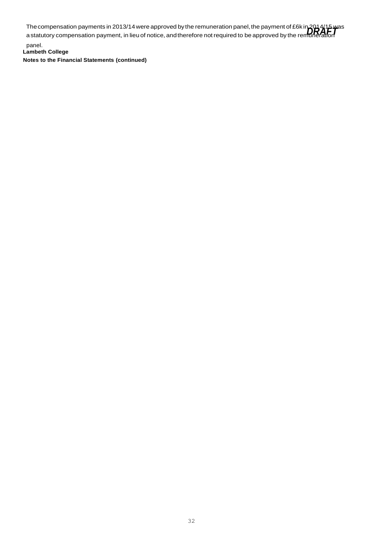The compensation payments in 2013/14 were approved by the remuneration panel, the payment of £6k in 2014/15 was<br>a statutory compensation payment, in lieu of notice, and therefore not required to be approved by the rem**urat** a statutory compensation payment, in lieu of notice, and therefore not required to be approved by the remuleration

**Lambeth College Notes to the Financial Statements (continued)** panel.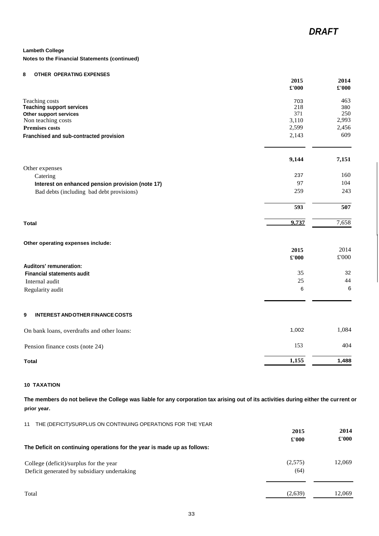#### **Notes to the Financial Statements (continued)**

# **8 OTHER OPERATING EXPENSES**

|                                                  | 2015<br>£'000 | 2014<br>£'000 |
|--------------------------------------------------|---------------|---------------|
| Teaching costs                                   | 703           | 463           |
| <b>Teaching support services</b>                 | 218           | 380           |
| Other support services                           | 371           | 250           |
| Non teaching costs                               | 3,110         | 2,993         |
| <b>Premises costs</b>                            | 2,599         | 2,456         |
| Franchised and sub-contracted provision          | 2,143         | 609           |
|                                                  | 9,144         | 7,151         |
| Other expenses                                   |               |               |
| Catering                                         | 237           | 160           |
| Interest on enhanced pension provision (note 17) | 97            | 104           |
| Bad debts (including bad debt provisions)        | 259           | 243           |
|                                                  | 593           | 507           |
| <b>Total</b>                                     | 9,737         | 7,658         |
| Other operating expenses include:                |               |               |
|                                                  | 2015          | 2014          |
|                                                  | $\pounds 000$ | £'000         |
| Auditors' remuneration:                          |               |               |
| <b>Financial statements audit</b>                | 35            | 32            |
| Internal audit                                   | 25            | 44            |
| Regularity audit                                 | 6             | 6             |
|                                                  |               |               |
| <b>INTEREST AND OTHER FINANCE COSTS</b><br>9     |               |               |
| On bank loans, overdrafts and other loans:       | 1,002         | 1,084         |
| Pension finance costs (note 24)                  | 153           | 404           |
| <b>Total</b>                                     | 1,155         | 1,488         |

#### **10 TAXATION**

**The members do not believe the College was liable for any corporation tax arising out of its activities during either the current or prior year.**

| THE (DEFICIT)/SURPLUS ON CONTINUING OPERATIONS FOR THE YEAR<br>11        |               |               |
|--------------------------------------------------------------------------|---------------|---------------|
|                                                                          | 2015          | 2014          |
|                                                                          | $\pounds 000$ | $\pounds 000$ |
| The Deficit on continuing operations for the year is made up as follows: |               |               |
| College (deficit)/surplus for the year                                   | (2,575)       | 12,069        |
| Deficit generated by subsidiary undertaking                              | (64)          |               |
|                                                                          |               |               |
| Total                                                                    | (2,639)       | 12.069        |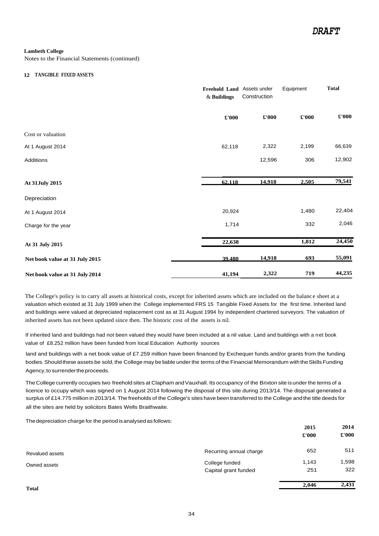Notes to the Financial Statements (continued)

#### **12 TANGIBLE FIXED ASSETS**

|                                | Freehold Land Assets under<br>$\&$ Buildings | Construction | Equipment     | <b>Total</b>                |
|--------------------------------|----------------------------------------------|--------------|---------------|-----------------------------|
|                                | $\pmb{\pounds}$ '000                         | £'000        | $\pounds 000$ | $\pmb{\pounds}^{\prime}000$ |
| Cost or valuation              |                                              |              |               |                             |
| At 1 August 2014               | 62,118                                       | 2,322        | 2,199         | 66,639                      |
| <b>Additions</b>               |                                              | 12,596       | 306           | 12,902                      |
| At 31July 2015                 | 62.118                                       | 14,918       | 2,505         | 79,541                      |
| Depreciation                   |                                              |              |               |                             |
| At 1 August 2014               | 20,924                                       |              | 1,480         | 22,404                      |
| Charge for the year            | 1,714                                        |              | 332           | 2,046                       |
| At 31 July 2015                | 22,638                                       |              | 1,812         | 24,450                      |
| Net book value at 31 July 2015 | 39.480                                       | 14,918       | 693           | 55,091                      |
| Net book value at 31 July 2014 | 41,194                                       | 2,322        | 719           | 44,235                      |

The College's policy is to carry all assets at historical costs, except for inherited assets which are included on the balance sheet at a valuation which existed at 31 July 1999 when the College implemented FRS 15 Tangible Fixed Assets for the first time. Inherited land and buildings were valued at depreciated replacement cost as at 31 August 1994 by independent chartered surveyors. The valuation of inherited assets has not been updated since then. The historic cost of the assets is nil.

If inherited land and buildings had not been valued they would have been included at a nil value. Land and buildings with a net book value of £8.252 million have been funded from local Education Authority sources

land and buildings with a net book value of £7.259 million have been financed by Exchequer funds and/or grants from the funding bodies. Should these assets be sold, the College may be liable under the terms of the Financial Memorandum with the Skills Funding Agency, to surrender the proceeds.

The College currently occupies two freehold sites at Clapham and Vauxhall. Its occupancy of the Brixton site is under the terms of a licence to occupy which was signed on 1 August 2014 following the disposal of this site during 2013/14. The disposal generated a surplus of £14.775 million in 2013/14. The freeholds of the College's sites have beentransferred to the College andthe title deeds for all the sites are held by solicitors Bates Wells Braithwaite.

The depreciation charge for the period is analysed as follows:

|                 |                         | 2015          | 2014          |
|-----------------|-------------------------|---------------|---------------|
|                 |                         | $\pounds 000$ | $\pounds 000$ |
| Revalued assets | Recurring annual charge | 652           | 511           |
| Owned assets    | College funded          | 1,143         | 1,598         |
|                 | Capital grant funded    | 251           | 322           |
| <b>Total</b>    |                         | 2,046         | 2,431         |
|                 |                         |               |               |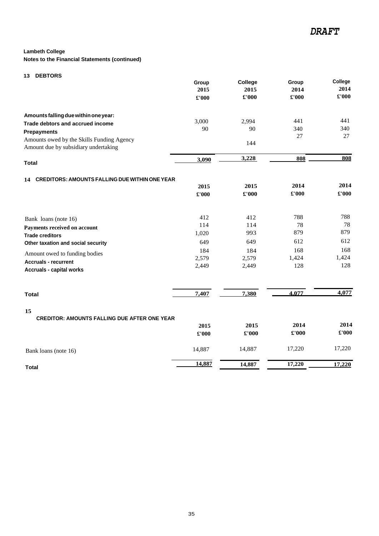#### **Notes to the Financial Statements (continued)**

#### **13 DEBTORS**

|                                                                                   | Group<br>2015<br>£'000 | College<br>2015<br>£'000 | Group<br>2014<br>$\pounds 000$ | College<br>2014<br>$\pounds 000$ |
|-----------------------------------------------------------------------------------|------------------------|--------------------------|--------------------------------|----------------------------------|
| Amounts falling due within one year:                                              |                        |                          |                                |                                  |
| Trade debtors and accrued income                                                  | 3,000                  | 2,994                    | 441                            | 441                              |
|                                                                                   | 90                     | 90                       | 340                            | 340                              |
| <b>Prepayments</b>                                                                |                        |                          | 27                             | 27                               |
| Amounts owed by the Skills Funding Agency<br>Amount due by subsidiary undertaking |                        | 144                      |                                |                                  |
| <b>Total</b>                                                                      | 3,090                  | 3,228                    | 808                            | 808                              |

#### **14 CREDITORS: AMOUNTS FALLING DUEWITHIN ONE YEAR**

|                                                                | 2015          | 2015          | 2014          | 2014          |
|----------------------------------------------------------------|---------------|---------------|---------------|---------------|
|                                                                | £'000         | $\pounds 000$ | $\pounds 000$ | $\pounds 000$ |
|                                                                |               |               |               |               |
| Bank loans (note 16)                                           | 412           | 412           | 788           | 788           |
| Payments received on account                                   | 114           | 114           | 78            | 78            |
| <b>Trade creditors</b>                                         | 1,020         | 993           | 879           | 879           |
| Other taxation and social security                             | 649           | 649           | 612           | 612           |
| Amount owed to funding bodies                                  | 184           | 184           | 168           | 168           |
|                                                                | 2,579         | 2,579         | 1,424         | 1,424         |
| <b>Accruals - recurrent</b><br><b>Accruals - capital works</b> | 2,449         | 2,449         | 128           | 128           |
|                                                                |               |               |               |               |
| <b>Total</b>                                                   | 7,407         | 7,380         | 4.077         | 4,077         |
| 15                                                             |               |               |               |               |
| <b>CREDITOR: AMOUNTS FALLING DUE AFTER ONE YEAR</b>            |               |               |               |               |
|                                                                | 2015          | 2015          | 2014          | 2014          |
|                                                                | $\pounds 000$ | $\pounds 000$ | £'000         | £'000         |
| Bank loans (note 16)                                           | 14,887        | 14,887        | 17,220        | 17,220        |
| <b>Total</b>                                                   | 14,887        | 14,887        | 17,220        | 17,220        |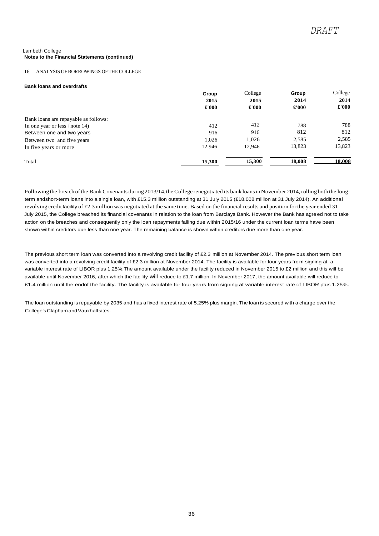#### 16 ANALYSIS OF BORROWINGS OFTHE COLLEGE

#### **Bank loans and overdrafts**

|                                      | Group<br>2015<br>£'000 | College<br>2015<br>£'000 | Group<br>2014<br>$\pounds 000$ | College<br>2014<br>$\pounds 000$ |
|--------------------------------------|------------------------|--------------------------|--------------------------------|----------------------------------|
| Bank loans are repayable as follows: |                        |                          |                                |                                  |
| In one year or less {note $14$ }     | 412                    | 412                      | 788                            | 788                              |
| Between one and two years            | 916                    | 916                      | 812                            | 812                              |
| Between two and five years           | 1.026                  | 1.026                    | 2,585                          | 2,585                            |
| In five years or more                | 12,946                 | 12,946                   | 13,823                         | 13,823                           |
| Total                                | 15,300                 | 15,300                   | 18,008                         | 18.008                           |

Following the breach of the Bank Covenants during 2013/14, the College renegotiated its bank loans in November 2014, rolling both the longterm andshort-term loans into a single loan, with £15.3 million outstanding at 31 July 2015 (£18.008 million at 31 July 2014). An additional revolving credit facility of £2.3 million was negotiated at the same time. Based on the financial results and position forthe year ended 31 July 2015, the College breached its financial covenants in relation to the loan from Barclays Bank. However the Bank has agre ed not to take action on the breaches and consequently only the loan repayments falling due within 2015/16 under the current loan terms have been shown within creditors due less than one year. The remaining balance is shown within creditors due more than one year.

The previous short term loan was converted into a revolving credit facility of £2.3 million at November 2014. The previous short term loan was converted into a revolving credit facility of £2.3 million at November 2014. The facility is available for four years from signing at a variable interest rate of LIBOR plus 1.25%.The amount available under the facility reduced in November 2015 to £2 million and this will be available until November 2016, after which the facility will reduce to £1.7 million. In November 2017, the amount available will reduce to £1.4 million until the endof the facility. The facility is available for four years from signing at variable interest rate of LIBOR plus 1.25%.

The loan outstanding is repayable by 2035 and has a fixed interest rate of 5.25% plus margin. The loan is secured with a charge over the College's ClaphamandVauxhallsites.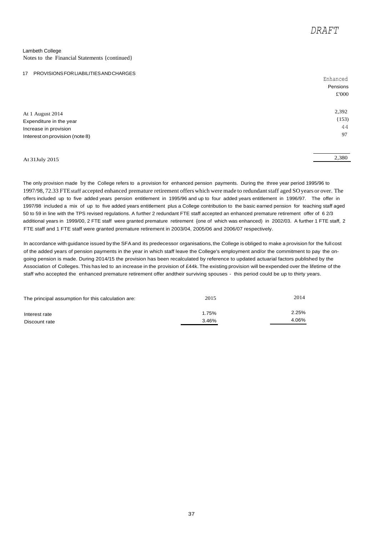Enhanced

#### Lambeth College Notes to the Financial Statements {continued}

#### 17 PROVISIONSFORLIABILITIESANDCHARGES

|                                | <b>EIIIIaIICEU</b> |
|--------------------------------|--------------------|
|                                | Pensions           |
|                                | £'000              |
|                                |                    |
| At 1 August 2014               | 2,392              |
| Expenditure in the year        | (153)              |
| Increase in provision          | 44                 |
| Interest on provision (note 8) | 97                 |
|                                |                    |
|                                |                    |

## At 31July 2015 2,380

The only provision made by the College refers to a provision for enhanced pension payments. During the three year period 1995/96 to 1997/98, 72.33 FTEstaff accepted enhanced premature retirement offers which were made to redundantstaff aged SOyears or over. The offers included up to five added years pension entitlement in 1995/96 and up to four added years entitlement in 1996/97. The offer in 1997/98 included a mix of up to five added years entitlement plus a College contribution to the basic earned pension for teaching staff aged 50 to 59 in line with the TPS revised regulations. A further 2 redundant FTE staff accepted an enhanced premature retirement offer of 6 2/3 additional years in 1999/00, 2 FTE staff were granted premature retirement {one of which was enhanced) in 2002/03. A further 1 FTE staff, 2 FTE staff and 1 FTE staff were granted premature retirement in 2003/04, 2005/06 and 2006/07 respectively.

In accordance with guidance issued by the SFA and its predecessor organisations, the College is obliged to make a provision for the full cost of the added years of pension payments in the year in which staff leave the College's employment and/or the commitment to pay the ongoing pension is made. During 2014/15 the provision has been recalculated by reference to updated actuarial factors published by the Association of Colleges. This has led to an increase in the provision of £44k. The existing provision will beexpended over the lifetime of the staff who accepted the enhanced premature retirement offer andtheir surviving spouses - this period could be up to thirty years.

| The principal assumption for this calculation are: | 2015  | 2014  |
|----------------------------------------------------|-------|-------|
| Interest rate                                      | 1.75% | 2.25% |
| Discount rate                                      | 3.46% | 4.06% |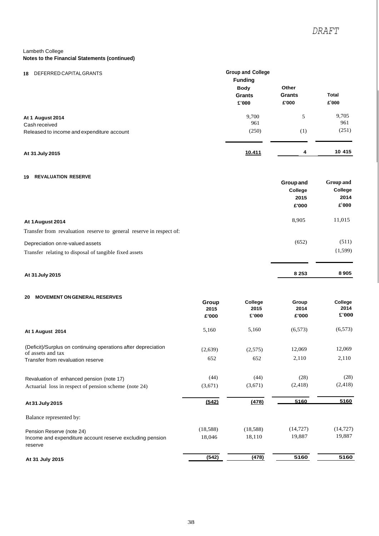| DEFERRED CAPITAL GRANTS<br>18                                                   | <b>Group and College</b><br><b>Funding</b>    |                                 |                                          |
|---------------------------------------------------------------------------------|-----------------------------------------------|---------------------------------|------------------------------------------|
|                                                                                 | <b>Body</b><br><b>Grants</b><br>$\pounds 000$ | Other<br><b>Grants</b><br>£'000 | <b>Total</b><br>$\mathbf{\pounds}^1$ 000 |
| At 1 August 2014<br>Cash received<br>Released to income and expenditure account | 9,700<br>961<br>(250)                         | 5<br>(1)                        | 9,705<br>961<br>(251)                    |
| At 31 July 2015                                                                 | <u>10.411</u>                                 | 4                               | 10 415                                   |

# **19 REVALUATION RESERVE**

|                                                                     | Group and | <b>Group and</b>         |  |
|---------------------------------------------------------------------|-----------|--------------------------|--|
|                                                                     | College   | College<br>2014          |  |
|                                                                     | 2015      |                          |  |
|                                                                     | £'000     | $\mathbf{\pounds}^1$ 000 |  |
| At 1 August 2014                                                    | 8,905     | 11,015                   |  |
| Transfer from revaluation reserve to general reserve in respect of: |           |                          |  |
| Depreciation on re-valued assets                                    | (652)     | (511)                    |  |
| Transfer relating to disposal of tangible fixed assets              |           | (1,599)                  |  |
|                                                                     |           |                          |  |
| At 31 July 2015                                                     | 8 2 5 3   | 8905                     |  |

#### **20 MOVEMENT ONGENERAL RESERVES**

|                                                                                    | Group<br>2015<br>£'000 | College<br>2015<br>$\pounds 000$ | Group<br>2014<br>£'000 | College<br>2014<br>$\pmb{\pounds}$ '000 |
|------------------------------------------------------------------------------------|------------------------|----------------------------------|------------------------|-----------------------------------------|
| At 1 August 2014                                                                   | 5,160                  | 5,160                            | (6, 573)               | (6, 573)                                |
| (Deficit)/Surplus on continuing operations after depreciation<br>of assets and tax | (2,639)                | (2,575)                          | 12,069                 | 12,069                                  |
| Transfer from revaluation reserve                                                  | 652                    | 652                              | 2,110                  | 2,110                                   |
| Revaluation of enhanced pension (note 17)                                          | (44)                   | (44)                             | (28)                   | (28)                                    |
| Actuarial loss in respect of pension scheme (note 24)                              | (3,671)                | (3,671)                          | (2, 418)               | (2, 418)                                |
| At 31 July 2015                                                                    | (542)                  | (478)                            | 5160                   | 5160                                    |
| Balance represented by:                                                            |                        |                                  |                        |                                         |
| Pension Reserve (note 24)                                                          | (18,588)               | (18,588)                         | (14, 727)              | (14, 727)                               |
| Income and expenditure account reserve excluding pension<br>reserve                | 18,046                 | 18,110                           | 19,887                 | 19,887                                  |
| At 31 July 2015                                                                    | (542)                  | (478)                            | 5160                   | 5160                                    |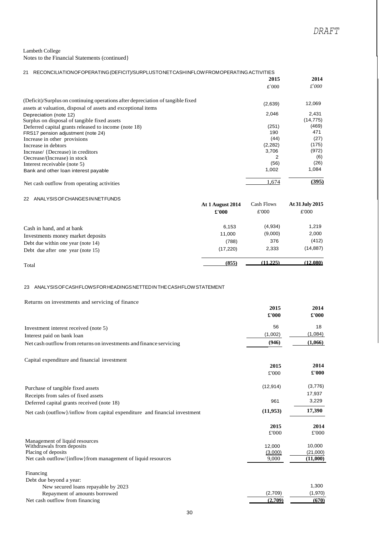| RECONCILIATION OF OPERATING (DEFICIT)/SURPLUSTONET CASHINFLOW FROM OPERATING ACTIVITIES<br>21 |            |                      |
|-----------------------------------------------------------------------------------------------|------------|----------------------|
|                                                                                               | 2015       | 2014                 |
|                                                                                               | $E^{1000}$ | $\mathcal{L}^{1}000$ |
| (Deficit)/Surplus on continuing operations after depreciation of tangible fixed               | (2,639)    | 12,069               |
| assets at valuation, disposal of assets and exceptional items                                 |            |                      |
| Depreciation (note 12)                                                                        | 2,046      | 2,431                |
| Surplus on disposal of tangible fixed assets                                                  |            | (14, 775)            |
| Deferred capital grants released to income (note 18)                                          | (251)      | (469)                |
| FRS17 pension adjustment (note 24)                                                            | 190        | 471                  |
| Increase in other provisions                                                                  | (44)       | (27)                 |
| Increase in debtors                                                                           | (2,282)    | (175)                |
| Increase/ {Decrease} in creditors                                                             | 3,706      | (972)                |
| Oecrease/(Increase) in stock                                                                  | 2          | (6)                  |
| Interest receivable (note 5)                                                                  | (56)       | (26)                 |
| Bank and other loan interest payable                                                          | 1,002      | 1,084                |
| Net cash outflow from operating activities                                                    | 1.674      | (395)                |

#### 22 ANALYSISOFCHANGESINNETFUNDS

|                                    | At 1 August 2014<br>$\pounds 000$ | Cash Flows<br>£'000 | At 31 July 2015<br>£'000 |
|------------------------------------|-----------------------------------|---------------------|--------------------------|
|                                    |                                   |                     |                          |
| Cash in hand, and at bank          | 6.153                             | (4,934)             | 1,219                    |
| Investments money market deposits  | 11,000                            | (9,000)             | 2,000                    |
| Debt due within one year (note 14) | (788)                             | 376                 | (412)                    |
| Debt due after one year (note 15)  | (17, 220)                         | 2,333               | (14, 887)                |
| Total                              | (855)                             | (11.225)            | (12.080)                 |

#### Total

#### 23 ANALYSISOFCASHFLOWSFORHEADINGSNETTEDINTHECASHFLOWSTATEMENT

| Returns on investments and servicing of finance                             |           |          |
|-----------------------------------------------------------------------------|-----------|----------|
|                                                                             | 2015      | 2014     |
|                                                                             | £'000     | £'000    |
| Investment interest received (note 5)                                       | 56        | 18       |
| Interest paid on bank loan                                                  | (1,002)   | (1,084)  |
| Net cash outflow from returns on investments and finance servicing          | (946)     | (1,066)  |
| Capital expenditure and financial investment                                |           |          |
|                                                                             | 2015      | 2014     |
|                                                                             | £'000     | £'000    |
| Purchase of tangible fixed assets                                           | (12, 914) | (3,776)  |
| Receipts from sales of fixed assets                                         |           | 17,937   |
| Deferred capital grants received (note 18)                                  | 961       | 3,229    |
| Net cash (outflow)/inflow from capital expenditure and financial investment | (11, 953) | 17,390   |
|                                                                             | 2015      | 2014     |
|                                                                             | £'000     | £'000    |
| Management of liquid resources                                              |           |          |
| Withdrawals from deposits                                                   | 12,000    | 10,000   |
| Placing of deposits                                                         | (3,000)   | (21,000) |
| Net cash outflow/{inflow} from management of liquid resources               | 9,000     | (11,000) |
| Financing                                                                   |           |          |
| Debt due beyond a year:                                                     |           | 1,300    |
| New secured loans repayable by 2023<br>Repayment of amounts borrowed        | (2,709)   | (1,970)  |
| Net cash outflow from financing                                             | (2.709)   | (670)    |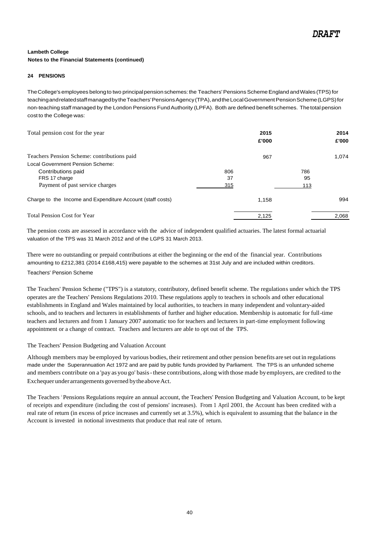#### **24 PENSIONS**

The College's employees belong to two principal pension schemes: the Teachers' Pensions Scheme England and Wales (TPS) for teachingandrelatedstaffmanagedbythe Teachers' Pensions Agency (TPA), and the Local Government Pension Scheme (LGPS) for non-teaching staff managed by the London Pensions Fund Authority (LPFA). Both are defined benefit schemes. The total pension cost to the College was:

| Total pension cost for the year                            |     | 2015<br>£'000 |     | 2014<br>£'000 |
|------------------------------------------------------------|-----|---------------|-----|---------------|
| Teachers Pension Scheme: contributions paid                |     | 967           |     | 1.074         |
| Local Government Pension Scheme:                           |     |               |     |               |
| Contributions paid                                         | 806 |               | 786 |               |
| FRS 17 charge                                              | 37  |               | 95  |               |
| Payment of past service charges                            | 315 |               | 113 |               |
| Charge to the Income and Expenditure Account (staff costs) |     | 1.158         |     | 994           |
| <b>Total Pension Cost for Year</b>                         |     | 2,125         |     | 2,068         |

The pension costs are assessed in accordance with the advice of independent qualified actuaries. The latest formal actuarial valuation of the TPS was 31 March 2012 and of the LGPS 31 March 2013.

There were no outstanding or prepaid contributions at either the beginning or the end of the financial year. Contributions amounting to £212,381 (2014 £168,415) were payable to the schemes at 31st July and are included within creditors.

# Teachers' Pension Scheme

The Teachers' Pension Scheme ("TPS") is a statutory, contributory, defined benefit scheme. The regulations under which the TPS operates are the Teachers' Pensions Regulations 2010. These regulations apply to teachers in schools and other educational establishments in England and Wales maintained by local authorities, to teachers in many independent and voluntary-aided schools, and to teachers and lecturers in establishments of further and higher education. Membership is automatic for full-time teachers and lecturers and from 1 January 2007 automatic too for teachers and lecturers in part-time employment following appointment or a change of contract. Teachers and lecturers are able to opt out of the TPS.

#### The Teachers' Pension Budgeting and Valuation Account

Although members may be employed by various bodies, their retirement and other pension benefits are set out in regulations made under the Superannuation Act 1972 and are paid by public funds provided by Parliament. The TPS is an unfunded scheme and members contribute on a 'pay as you go' basis-these contributions, along with those made by employers, are credited to the Exchequer under arrangements governed by the above Act.

The Teachers 'Pensions Regulations require an annual account, the Teachers' Pension Budgeting and Valuation Account, to be kept of receipts and expenditure (including the cost of pensions' increases). From 1 April 2001, the Account has been credited with a real rate of return (in excess of price increases and currently set at 3.5%), which is equivalent to assuming that the balance in the Account is invested in notional investments that produce that real rate of return.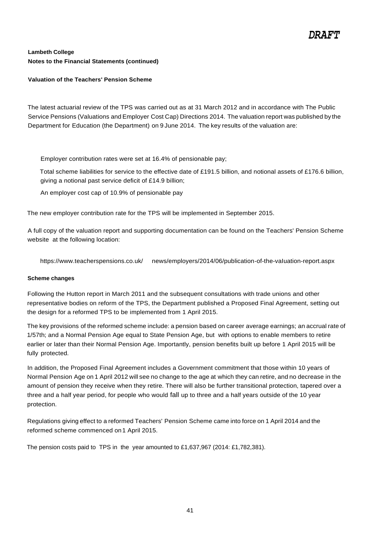# **Valuation of the Teachers' Pension Scheme**

The latest actuarial review of the TPS was carried out as at 31 March 2012 and in accordance with The Public Service Pensions (Valuations and Employer Cost Cap) Directions 2014. The valuation report was published by the Department for Education (the Department) on 9 June 2014. The key results of the valuation are:

Employer contribution rates were set at 16.4% of pensionable pay;

Total scheme liabilities for service to the effective date of £191.5 billion, and notional assets of £176.6 billion, giving a notional past service deficit of £14.9 billion;

An employer cost cap of 10.9% of pensionable pay

The new employer contribution rate for the TPS will be implemented in September 2015.

A full copy of the valuation report and supporting documentation can be found on the Teachers' Pension Scheme website at the following location:

http[s://www.t](http://www.teacherspensions.co.uk/)e[acherspensions.co.uk/ n](http://www.teacherspensions.co.uk/)ews/employers/2014/06/publication-of-the-vaIuation-report.aspx

### **Scheme changes**

Following the Hutton report in March 2011 and the subsequent consultations with trade unions and other representative bodies on reform of the TPS, the Department published a Proposed Final Agreement, setting out the design for a reformed TPS to be implemented from 1 April 2015.

The key provisions of the reformed scheme include: a pension based on career average earnings; an accrual rate of 1/57th; and a Normal Pension Age equal to State Pension Age, but with options to enable members to retire earlier or later than their Normal Pension Age. Importantly, pension benefits built up before 1 April 2015 will be fully protected.

In addition, the Proposed Final Agreement includes a Government commitment that those within 10 years of Normal Pension Age on 1 April 2012 will see no change to the age at which they can retire, and no decrease in the amount of pension they receive when they retire. There will also be further transitional protection, tapered over a three and a half year period, for people who would fall up to three and a half years outside of the 10 year protection.

Regulations giving effect to a reformed Teachers' Pension Scheme came into force on 1 April 2014 and the reformed scheme commenced on1 April 2015.

The pension costs paid to TPS in the year amounted to £1,637,967 (2014: £1,782,381).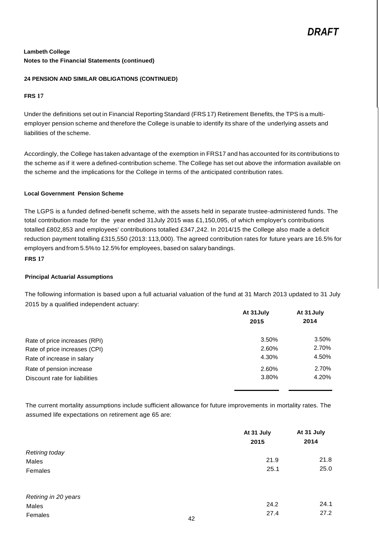#### **24 PENSION AND SIMILAR OBLIGATIONS (CONTINUED)**

#### **FRS 17**

Under the definitions set out in Financial Reporting Standard (FRS 17) Retirement Benefits, the TPS is a multiemployer pension scheme and therefore the College is unable to identify its share of the underlying assets and liabilities of the scheme.

Accordingly, the College has taken advantage of the exemption in FRS17 and has accounted for its contributions to the scheme as if it were a defined-contribution scheme. The College has set out above the information available on the scheme and the implications for the College in terms of the anticipated contribution rates.

### **Local Government Pension Scheme**

The LGPS is a funded defined-benefit scheme, with the assets held in separate trustee-administered funds. The total contribution made for the year ended 31July 2015 was £1,150,095, of which employer's contributions totalled £802,853 and employees' contributions totalled £347,242. In 2014/15 the College also made a deficit reduction payment totalling £315,550 (2013: 113,000). The agreed contribution rates for future years are 16.5% for employers and from 5.5%to 12.5%for employees, based on salary bandings.

# **FRS 17**

### **Principal Actuarial Assumptions**

The following information is based upon a full actuarial valuation of the fund at 31 March 2013 updated to 31 July 2015 by a qualified independent actuary:

|                               | At 31 July | At 31 July |  |
|-------------------------------|------------|------------|--|
|                               | 2015       | 2014       |  |
| Rate of price increases (RPI) | 3.50%      | 3.50%      |  |
| Rate of price increases (CPI) | 2.60%      | 2.70%      |  |
| Rate of increase in salary    | 4.30%      | 4.50%      |  |
| Rate of pension increase      | 2.60%      | 2.70%      |  |
| Discount rate for liabilities | 3.80%      | 4.20%      |  |

The current mortality assumptions include sufficient allowance for future improvements in mortality rates. The assumed life expectations on retirement age 65 are:

|                       |    | At 31 July | At 31 July |  |
|-----------------------|----|------------|------------|--|
|                       |    | 2015       | 2014       |  |
| <b>Retiring today</b> |    |            |            |  |
| Males                 |    | 21.9       | 21.8       |  |
| Females               |    | 25.1       | 25.0       |  |
| Retiring in 20 years  |    |            |            |  |
| Males                 |    | 24.2       | 24.1       |  |
| Females               | 42 | 27.4       | 27.2       |  |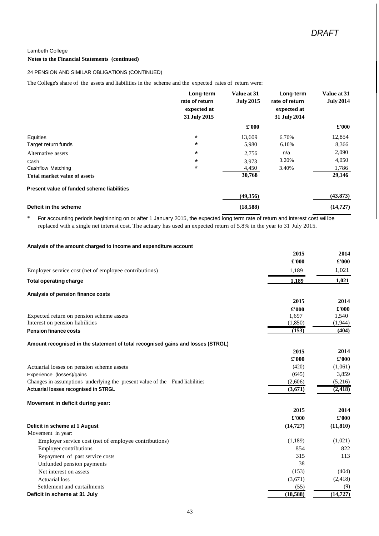#### **Notes to the Financial Statements (continued)**

#### 24 PENSION AND SIMILAR OBLIGATIONS (CONTINUED)

The College's share of the assets and liabilities in the scheme and the expected rates of return were:

|                                            | Long-term<br>rate of return<br>expected at<br>31 July 2015 | Value at 31<br><b>July 2015</b> | Long-term<br>rate of return<br>expected at<br>31 July 2014 | Value at 31<br><b>July 2014</b> |
|--------------------------------------------|------------------------------------------------------------|---------------------------------|------------------------------------------------------------|---------------------------------|
|                                            |                                                            | £'000                           |                                                            | $\pounds 000$                   |
| Equities                                   | $\star$                                                    | 13.609                          | 6.70%                                                      | 12,854                          |
| Target return funds                        | *                                                          | 5,980                           | 6.10%                                                      | 8,366                           |
| Alternative assets                         | *                                                          | 2,756                           | n/a                                                        | 2,090                           |
| Cash                                       | *                                                          | 3,973                           | 3.20%                                                      | 4,050                           |
| Cashflow Matching                          | $\star$                                                    | 4,450                           | 3.40%                                                      | 1,786                           |
| <b>Total market value of assets</b>        |                                                            | 30,768                          |                                                            | 29,146                          |
| Present value of funded scheme liabilities |                                                            |                                 |                                                            |                                 |
|                                            |                                                            | (49,356)                        |                                                            | (43, 873)                       |
| Deficit in the scheme                      |                                                            | (18,588)                        |                                                            | (14, 727)                       |

\* For accounting periods begininning on or after 1 January 2015, the expected long term rate of return and interest cost willbe replaced with a single net interest cost. The actuary has used an expected return of 5.8% in the year to 31 July 2015.

#### **Analysis of the amount charged to income and expenditure account**

|                                                                                 | 2015      | 2014      |
|---------------------------------------------------------------------------------|-----------|-----------|
|                                                                                 | £'000     | £'000     |
| Employer service cost (net of employee contributions)                           | 1,189     | 1,021     |
| Total operating charge                                                          | 1.189     | 1,021     |
| Analysis of pension finance costs                                               |           |           |
|                                                                                 | 2015      | 2014      |
|                                                                                 | £'000     | £'000     |
| Expected return on pension scheme assets                                        | 1,697     | 1,540     |
| Interest on pension liabilities                                                 | (1,850)   | (1,944)   |
| <b>Pension finance costs</b>                                                    | (153)     | (404)     |
| Amount recognised in the statement of total recognised gains and losses (STRGL) |           |           |
|                                                                                 | 2015      | 2014      |
|                                                                                 | £'000     | £'000     |
| Actuarial losses on pension scheme assets                                       | (420)     | (1,061)   |
| Experience (losses)/gains                                                       | (645)     | 3,859     |
| Changes in assumptions underlying the present value of the Fund liabilities     | (2,606)   | (5,216)   |
| Actuarial losses recognised in STRGL                                            | (3,671)   | (2, 418)  |
| Movement in deficit during year:                                                |           |           |
|                                                                                 | 2015      | 2014      |
|                                                                                 | £'000     | £'000     |
| Deficit in scheme at 1 August                                                   | (14, 727) | (11, 810) |
| Movement in year:                                                               |           |           |
| Employer service cost (net of employee contributions)                           | (1,189)   | (1,021)   |
| <b>Employer contributions</b>                                                   | 854       | 822       |
| Repayment of past service costs                                                 | 315       | 113       |
| Unfunded pension payments                                                       | 38        |           |
| Net interest on assets                                                          | (153)     | (404)     |
| <b>Actuarial</b> loss                                                           | (3,671)   | (2, 418)  |
| Settlement and curtailments                                                     | (55)      | (9)       |
| Deficit in scheme at 31 July                                                    | (18,588)  | (14, 727) |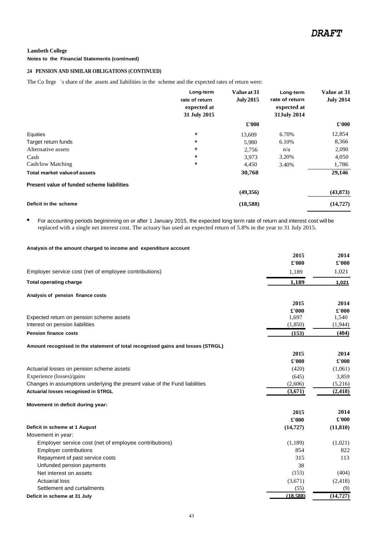#### **Notes to the Financial Statements (continued)**

#### **24 PENSION AND SIMILAR OBLIGATIONS (CONTINUED)**

The Co llege <sup>1</sup>s share of the assets and liabilities in the scheme and the expected rates of return were:

|                                            | Long-term<br>rate of return<br>expected at<br>31 July 2015 | Value at 31<br><b>July 2015</b> | Long-term<br>rate of return<br>expected at<br>31July 2014 | Value at 31<br><b>July 2014</b> |
|--------------------------------------------|------------------------------------------------------------|---------------------------------|-----------------------------------------------------------|---------------------------------|
|                                            |                                                            | £'000                           |                                                           | £'000                           |
| Equities                                   | $\star$                                                    | 13,609                          | 6.70%                                                     | 12,854                          |
| Target return funds                        | *                                                          | 5,980                           | 6.10%                                                     | 8,366                           |
| Alternative assets                         | $\ast$                                                     | 2,756                           | n/a                                                       | 2,090                           |
| Cash                                       | $\star$                                                    | 3.973                           | 3.20%                                                     | 4,050                           |
| Cash/low Matching                          | $\star$                                                    | 4,450                           | 3.40%                                                     | 1,786                           |
| <b>Total market value of assets</b>        |                                                            | 30,768                          |                                                           | 29,146                          |
| Present value of funded scheme liabilities |                                                            |                                 |                                                           |                                 |
|                                            |                                                            | (49,356)                        |                                                           | (43, 873)                       |
| Deficit in the scheme                      |                                                            | (18,588)                        |                                                           | (14, 727)                       |

• For accounting periods begininning on or after 1 January 2015, the expected long term rate of return and interest cost will be replaced with a single net interest cost. The actuary has used an expected return of 5.8% in the year to 31 July 2015.

#### **Analysis of the amount charged to income and expenditure account**

|                                                                                 | 2015      | 2014      |
|---------------------------------------------------------------------------------|-----------|-----------|
|                                                                                 | £'000     | £'000     |
| Employer service cost (net of employee contributions)                           | 1,189     | 1,021     |
| <b>Total operating charge</b>                                                   | 1,189     | 1,021     |
| Analysis of pension finance costs                                               |           |           |
|                                                                                 | 2015      | 2014      |
|                                                                                 | £'000     | £'000     |
| Expected return on pension scheme assets                                        | 1,697     | 1,540     |
| Interest on pension liabilities                                                 | (1, 850)  | (1,944)   |
| <b>Pension finance costs</b>                                                    | (153)     | (404)     |
| Amount recognised in the statement of total recognised gains and losses (STRGL} |           |           |
|                                                                                 | 2015      | 2014      |
|                                                                                 | £'000     | £'000     |
| Actuarial losses on pension scheme assets                                       | (420)     | (1,061)   |
| Experience (losses)/gains                                                       | (645)     | 3,859     |
| Changes in assumptions underlying the present value of the Fund liabilities     | (2,606)   | (5,216)   |
| Actuarial losses recognised in STRGL                                            | (3,671)   | (2, 418)  |
| Movement in deficit during year:                                                |           |           |
|                                                                                 | 2015      | 2014      |
|                                                                                 | £'000     | £'000     |
| Deficit in scheme at 1 August                                                   | (14, 727) | (11, 810) |
| Movement in year:                                                               |           |           |
| Employer service cost (net of employee contributions)                           | (1,189)   | (1,021)   |
| <b>Employer contributions</b>                                                   | 854       | 822       |
| Repayment of past service costs                                                 | 315       | 113       |
| Unfunded pension payments                                                       | 38        |           |
| Net interest on assets                                                          | (153)     | (404)     |
| <b>Actuarial loss</b>                                                           | (3,671)   | (2, 418)  |
| Settlement and curtailments                                                     | (55)      | (9)       |
| Deficit in scheme at 31 July                                                    | (18.588)  | (14, 727) |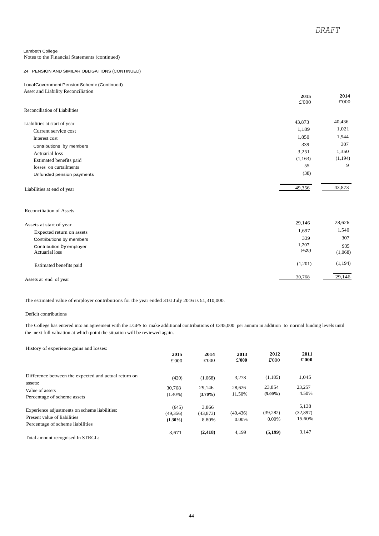Notes to the Financial Statements (continued)

#### 24 PENSION AND SIMILAR OBLIGATIONS (CONTINUED)

#### LocalGovernment PensionScheme (Continued) Asset and Liability Reconciliation

|                                 | 2015    | 2014     |
|---------------------------------|---------|----------|
|                                 | £'000   | £'000    |
| Reconciliation of Liabilities   |         |          |
| Liabilities at start of year    | 43,873  | 40,436   |
| Current service cost            | 1,189   | 1,021    |
| Interest cost                   | 1,850   | 1,944    |
| Contributions by members        | 339     | 307      |
| <b>Actuarial</b> loss           | 3,251   | 1,350    |
| Estimated benefits paid         | (1,163) | (1, 194) |
| losses on curtailments          | 55      | 9        |
| Unfunded pension payments       | (38)    |          |
| Liabilities at end of year      | 49,356  | 43.873   |
| <b>Reconciliation of Assets</b> |         |          |
| Assets at start of year         | 29,146  | 28,626   |
| Expected return on accete       | 1,697   | 1,540    |

| Expected return on assets                         | 1,697          | 1,540          |
|---------------------------------------------------|----------------|----------------|
| Contributions by members                          | 339            | 307            |
| Contribution by employer<br><b>Actuarial loss</b> | 1,207<br>(420) | 935<br>(1,068) |
| Estimated benefits paid                           | (1,201)        | (1, 194)       |
| Assets at end of year                             | 30,768         | 29,146         |

The estimated value of employer contributions for the year ended 31st July 2016 is £1,310,000.

#### Deficit contributions

The College has entered into an agreement with the LGPS to make additional contributions of £345,000 per annum in addition to normal funding levels until the next full valuation at which point the situation will be reviewed again.

History of experience gains and losses:

|                                                      | 2015       | 2014       | 2013      | 2012       | 2011          |
|------------------------------------------------------|------------|------------|-----------|------------|---------------|
|                                                      | £'000      | £'000      | £'000     | £'000      | $\pounds 000$ |
| Difference between the expected and actual return on | (420)      | (1,068)    | 3,278     | (1, 185)   | 1,045         |
| assets:                                              | 30,768     | 29.146     | 28.626    | 23,854     | 23,257        |
| Value of assets                                      | $(1.40\%)$ | $(3.70\%)$ | 11.50%    | $(5.00\%)$ | 4.50%         |
| Percentage of scheme assets                          |            |            |           |            |               |
|                                                      | (645)      | 3.866      |           |            | 5,138         |
| Experience adjustments on scheme liabilities:        | (49, 356)  | (43, 873)  | (40, 436) | (39, 282)  | (32, 897)     |
| Present value of liabilities                         | $(1.30\%)$ | 8.80%      | $0.00\%$  | $0.00\%$   | 15.60%        |
| Percentage of scheme liabilities                     |            |            |           |            |               |
|                                                      | 3,671      | (2, 418)   | 4.199     | (5, 199)   | 3,147         |
| Total amount recognised In STRGL:                    |            |            |           |            |               |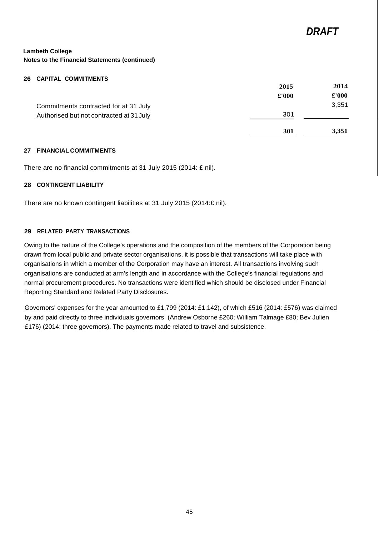#### **26 CAPITAL COMMITMENTS**

|                                          | 2015  | 2014          |
|------------------------------------------|-------|---------------|
|                                          | £'000 | $\pounds 000$ |
| Commitments contracted for at 31 July    |       | 3,351         |
| Authorised but not contracted at 31 July | 301   |               |
|                                          | 301   | 3,351         |

#### **27 FINANCIAL COMMITMENTS**

There are no financial commitments at 31 July 2015 (2014: £ nil).

### **28 CONTINGENT LIABILITY**

There are no known contingent liabilities at 31 July 2015 (2014:£ nil).

# **29 RELATED PARTY TRANSACTIONS**

Owing to the nature of the College's operations and the composition of the members of the Corporation being drawn from local public and private sector organisations, it is possible that transactions will take place with organisations in which a member of the Corporation may have an interest. All transactions involving such organisations are conducted at arm's length and in accordance with the College's financial regulations and normal procurement procedures. No transactions were identified which should be disclosed under Financial Reporting Standard and Related Party Disclosures.

Governors' expenses for the year amounted to £1,799 (2014: £1,142), of which £516 (2014: £576) was claimed by and paid directly to three individuals governors (Andrew Osborne £260; William Talmage £80; Bev Julien £176) (2014: three governors). The payments made related to travel and subsistence.